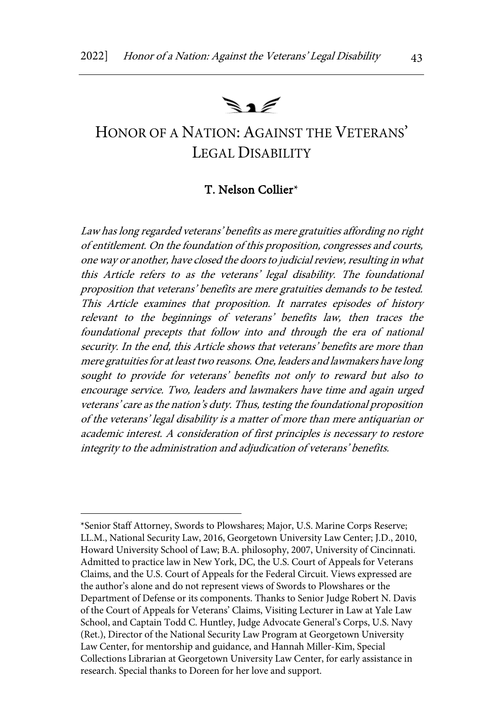# $\mathbb{R}$  1

# HONOR OF A NATION: AGAINST THE VETERANS' LEGAL DISABILITY

### T. Nelson Collier\*

Law has long regarded veterans' benefits as mere gratuities affording no right of entitlement. On the foundation of this proposition, congresses and courts, one way or another, have closed the doors to judicial review, resulting in what this Article refers to as the veterans' legal disability. The foundational proposition that veterans' benefits are mere gratuities demands to be tested. This Article examines that proposition. It narrates episodes of history relevant to the beginnings of veterans' benefits law, then traces the foundational precepts that follow into and through the era of national security. In the end, this Article shows that veterans' benefits are more than mere gratuities for at least two reasons. One, leaders and lawmakers have long sought to provide for veterans' benefits not only to reward but also to encourage service. Two, leaders and lawmakers have time and again urged veterans' care as the nation's duty. Thus, testing the foundational proposition of the veterans' legal disability is a matter of more than mere antiquarian or academic interest. A consideration of first principles is necessary to restore integrity to the administration and adjudication of veterans' benefits.

<sup>\*</sup>Senior Staff Attorney, Swords to Plowshares; Major, U.S. Marine Corps Reserve; LL.M., National Security Law, 2016, Georgetown University Law Center; J.D., 2010, Howard University School of Law; B.A. philosophy, 2007, University of Cincinnati. Admitted to practice law in New York, DC, the U.S. Court of Appeals for Veterans Claims, and the U.S. Court of Appeals for the Federal Circuit. Views expressed are the author's alone and do not represent views of Swords to Plowshares or the Department of Defense or its components. Thanks to Senior Judge Robert N. Davis of the Court of Appeals for Veterans' Claims, Visiting Lecturer in Law at Yale Law School, and Captain Todd C. Huntley, Judge Advocate General's Corps, U.S. Navy (Ret.), Director of the National Security Law Program at Georgetown University Law Center, for mentorship and guidance, and Hannah Miller-Kim, Special Collections Librarian at Georgetown University Law Center, for early assistance in research. Special thanks to Doreen for her love and support.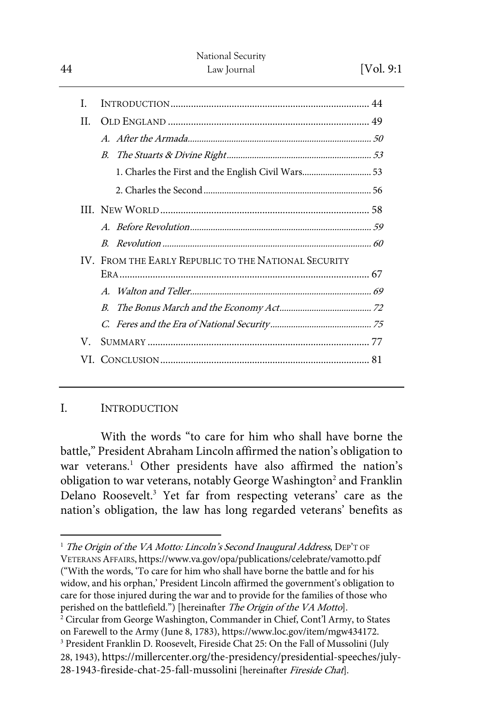| I.  |                                                      |
|-----|------------------------------------------------------|
| H.  |                                                      |
|     |                                                      |
|     | $B_{\cdot}$                                          |
|     | 1. Charles the First and the English Civil Wars 53   |
|     |                                                      |
|     |                                                      |
|     |                                                      |
|     |                                                      |
|     | IV. FROM THE EARLY REPUBLIC TO THE NATIONAL SECURITY |
|     |                                                      |
|     | $B_{\cdot}$                                          |
|     |                                                      |
| V.  |                                                      |
| VL. |                                                      |

# I. INTRODUCTION

With the words "to care for him who shall have borne the battle," President Abraham Lincoln affirmed the nation's obligation to war veterans.<sup>1</sup> Other presidents have also affirmed the nation's obligation to war veterans, notably George Washington<sup>2</sup> and Franklin Delano Roosevelt.3 Yet far from respecting veterans' care as the nation's obligation, the law has long regarded veterans' benefits as

<sup>&</sup>lt;sup>1</sup> The Origin of the VA Motto: Lincoln's Second Inaugural Address, DEP'T OF VETERANS AFFAIRS, https://www.va.gov/opa/publications/celebrate/vamotto.pdf ("With the words, 'To care for him who shall have borne the battle and for his widow, and his orphan,' President Lincoln affirmed the government's obligation to care for those injured during the war and to provide for the families of those who perished on the battlefield.") [hereinafter The Origin of the VA Motto].

<sup>&</sup>lt;sup>2</sup> Circular from George Washington, Commander in Chief, Cont'l Army, to States on Farewell to the Army (June 8, 1783), https://www.loc.gov/item/mgw434172. <sup>3</sup> President Franklin D. Roosevelt, Fireside Chat 25: On the Fall of Mussolini (July 28, 1943), https://millercenter.org/the-presidency/presidential-speeches/july-28-1943-fireside-chat-25-fall-mussolini [hereinafter Fireside Chat].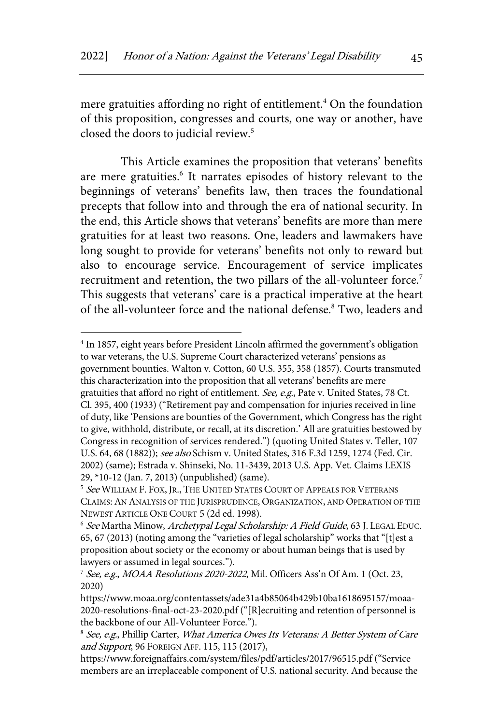mere gratuities affording no right of entitlement.<sup>4</sup> On the foundation of this proposition, congresses and courts, one way or another, have closed the doors to judicial review.<sup>5</sup>

This Article examines the proposition that veterans' benefits are mere gratuities.<sup>6</sup> It narrates episodes of history relevant to the beginnings of veterans' benefits law, then traces the foundational precepts that follow into and through the era of national security. In the end, this Article shows that veterans' benefits are more than mere gratuities for at least two reasons. One, leaders and lawmakers have long sought to provide for veterans' benefits not only to reward but also to encourage service. Encouragement of service implicates recruitment and retention, the two pillars of the all-volunteer force.<sup>7</sup> This suggests that veterans' care is a practical imperative at the heart of the all-volunteer force and the national defense.<sup>8</sup> Two, leaders and

<sup>4</sup> In 1857, eight years before President Lincoln affirmed the government's obligation to war veterans, the U.S. Supreme Court characterized veterans' pensions as government bounties. Walton v. Cotton, 60 U.S. 355, 358 (1857). Courts transmuted this characterization into the proposition that all veterans' benefits are mere gratuities that afford no right of entitlement. See, e.g., Pate v. United States, 78 Ct. Cl. 395, 400 (1933) ("Retirement pay and compensation for injuries received in line of duty, like 'Pensions are bounties of the Government, which Congress has the right to give, withhold, distribute, or recall, at its discretion.' All are gratuities bestowed by Congress in recognition of services rendered.") (quoting United States v. Teller, 107 U.S. 64, 68 (1882)); see also Schism v. United States, 316 F.3d 1259, 1274 (Fed. Cir. 2002) (same); Estrada v. Shinseki, No. 11-3439, 2013 U.S. App. Vet. Claims LEXIS 29, \*10-12 (Jan. 7, 2013) (unpublished) (same).

<sup>&</sup>lt;sup>5</sup> See WILLIAM F. FOX, JR., THE UNITED STATES COURT OF APPEALS FOR VETERANS CLAIMS:AN ANALYSIS OF THE JURISPRUDENCE, ORGANIZATION, AND OPERATION OF THE NEWEST ARTICLE ONE COURT 5 (2d ed. 1998).

<sup>&</sup>lt;sup>6</sup> See Martha Minow, Archetypal Legal Scholarship: A Field Guide, 63 J. LEGAL EDUC. 65, 67 (2013) (noting among the "varieties of legal scholarship" works that "[t]est a proposition about society or the economy or about human beings that is used by lawyers or assumed in legal sources.").

<sup>&</sup>lt;sup>7</sup> See, e.g., MOAA Resolutions 2020-2022, Mil. Officers Ass'n Of Am. 1 (Oct. 23, 2020)

https://www.moaa.org/contentassets/ade31a4b85064b429b10ba1618695157/moaa-2020-resolutions-final-oct-23-2020.pdf ("[R]ecruiting and retention of personnel is the backbone of our All-Volunteer Force.").

<sup>&</sup>lt;sup>8</sup> See, e.g., Phillip Carter, What America Owes Its Veterans: A Better System of Care and Support, 96 FOREIGN AFF. 115, 115 (2017),

https://www.foreignaffairs.com/system/files/pdf/articles/2017/96515.pdf ("Service members are an irreplaceable component of U.S. national security. And because the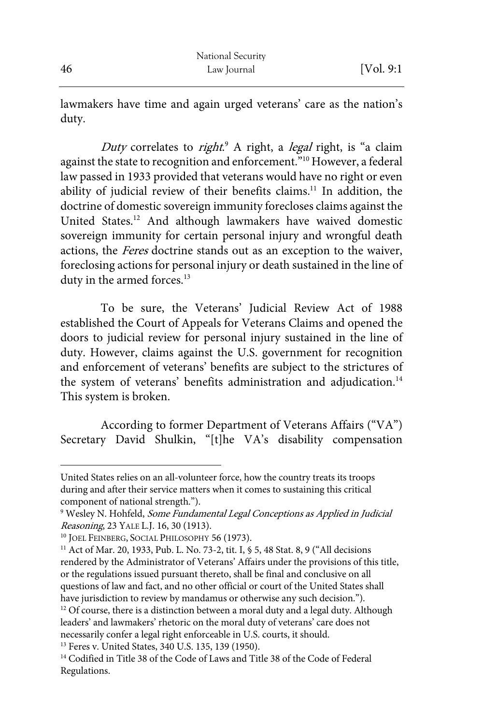lawmakers have time and again urged veterans' care as the nation's duty.

Duty correlates to right.<sup>9</sup> A right, a legal right, is "a claim against the state to recognition and enforcement."<sup>10</sup> However, a federal law passed in 1933 provided that veterans would have no right or even ability of judicial review of their benefits claims.<sup>11</sup> In addition, the doctrine of domestic sovereign immunity forecloses claims against the United States.12 And although lawmakers have waived domestic sovereign immunity for certain personal injury and wrongful death actions, the Feres doctrine stands out as an exception to the waiver, foreclosing actions for personal injury or death sustained in the line of duty in the armed forces.<sup>13</sup>

To be sure, the Veterans' Judicial Review Act of 1988 established the Court of Appeals for Veterans Claims and opened the doors to judicial review for personal injury sustained in the line of duty. However, claims against the U.S. government for recognition and enforcement of veterans' benefits are subject to the strictures of the system of veterans' benefits administration and adjudication.<sup>14</sup> This system is broken.

According to former Department of Veterans Affairs ("VA") Secretary David Shulkin, "[t]he VA's disability compensation

United States relies on an all-volunteer force, how the country treats its troops during and after their service matters when it comes to sustaining this critical component of national strength.").

<sup>&</sup>lt;sup>9</sup> Wesley N. Hohfeld, Some Fundamental Legal Conceptions as Applied in Judicial Reasoning, 23 YALE L.J. 16, 30 (1913).

<sup>&</sup>lt;sup>10</sup> JOEL FEINBERG, SOCIAL PHILOSOPHY 56 (1973).

<sup>&</sup>lt;sup>11</sup> Act of Mar. 20, 1933, Pub. L. No. 73-2, tit. I, § 5, 48 Stat. 8, 9 ("All decisions rendered by the Administrator of Veterans' Affairs under the provisions of this title, or the regulations issued pursuant thereto, shall be final and conclusive on all questions of law and fact, and no other official or court of the United States shall have jurisdiction to review by mandamus or otherwise any such decision.").

 $12$  Of course, there is a distinction between a moral duty and a legal duty. Although leaders' and lawmakers' rhetoric on the moral duty of veterans' care does not necessarily confer a legal right enforceable in U.S. courts, it should.

<sup>13</sup> Feres v. United States, 340 U.S. 135, 139 (1950).

<sup>&</sup>lt;sup>14</sup> Codified in Title 38 of the Code of Laws and Title 38 of the Code of Federal Regulations.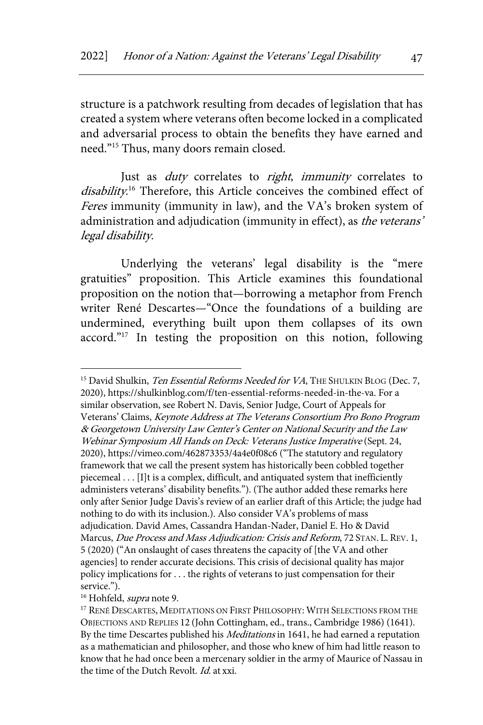structure is a patchwork resulting from decades of legislation that has created a system where veterans often become locked in a complicated and adversarial process to obtain the benefits they have earned and need."15 Thus, many doors remain closed.

Just as *duty* correlates to *right*, *immunity* correlates to disability.<sup>16</sup> Therefore, this Article conceives the combined effect of Feres immunity (immunity in law), and the VA's broken system of administration and adjudication (immunity in effect), as the veterans' legal disability.

Underlying the veterans' legal disability is the "mere gratuities" proposition. This Article examines this foundational proposition on the notion that—borrowing a metaphor from French writer René Descartes—"Once the foundations of a building are undermined, everything built upon them collapses of its own accord."<sup>17</sup> In testing the proposition on this notion, following

<sup>&</sup>lt;sup>15</sup> David Shulkin, Ten Essential Reforms Needed for VA, THE SHULKIN BLOG (Dec. 7, 2020), https://shulkinblog.com/f/ten-essential-reforms-needed-in-the-va. For a similar observation, see Robert N. Davis, Senior Judge, Court of Appeals for Veterans' Claims, Keynote Address at The Veterans Consortium Pro Bono Program & Georgetown University Law Center's Center on National Security and the Law Webinar Symposium All Hands on Deck: Veterans Justice Imperative (Sept. 24, 2020), https://vimeo.com/462873353/4a4e0f08c6 ("The statutory and regulatory framework that we call the present system has historically been cobbled together piecemeal . . . [I]t is a complex, difficult, and antiquated system that inefficiently administers veterans' disability benefits."). (The author added these remarks here only after Senior Judge Davis's review of an earlier draft of this Article; the judge had nothing to do with its inclusion.). Also consider VA's problems of mass adjudication. David Ames, Cassandra Handan-Nader, Daniel E. Ho & David Marcus, Due Process and Mass Adjudication: Crisis and Reform, 72 STAN. L. REV. 1, 5 (2020) ("An onslaught of cases threatens the capacity of [the VA and other agencies] to render accurate decisions. This crisis of decisional quality has major policy implications for . . . the rights of veterans to just compensation for their service.").

<sup>&</sup>lt;sup>16</sup> Hohfeld, *supra* note 9.

<sup>17</sup> RENÉ DESCARTES, MEDITATIONS ON FIRST PHILOSOPHY: WITH SELECTIONS FROM THE OBJECTIONS AND REPLIES 12 (John Cottingham, ed., trans., Cambridge 1986) (1641). By the time Descartes published his Meditations in 1641, he had earned a reputation as a mathematician and philosopher, and those who knew of him had little reason to know that he had once been a mercenary soldier in the army of Maurice of Nassau in the time of the Dutch Revolt. Id. at xxi.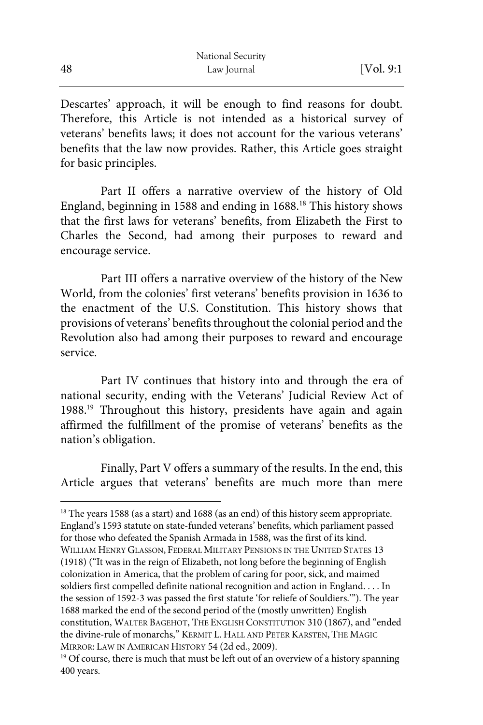Descartes' approach, it will be enough to find reasons for doubt. Therefore, this Article is not intended as a historical survey of veterans' benefits laws; it does not account for the various veterans' benefits that the law now provides. Rather, this Article goes straight for basic principles.

Part II offers a narrative overview of the history of Old England, beginning in 1588 and ending in 1688.18 This history shows that the first laws for veterans' benefits, from Elizabeth the First to Charles the Second, had among their purposes to reward and encourage service.

Part III offers a narrative overview of the history of the New World, from the colonies' first veterans' benefits provision in 1636 to the enactment of the U.S. Constitution. This history shows that provisions of veterans' benefits throughout the colonial period and the Revolution also had among their purposes to reward and encourage service.

Part IV continues that history into and through the era of national security, ending with the Veterans' Judicial Review Act of 1988.19 Throughout this history, presidents have again and again affirmed the fulfillment of the promise of veterans' benefits as the nation's obligation.

Finally, Part V offers a summary of the results. In the end, this Article argues that veterans' benefits are much more than mere

<sup>&</sup>lt;sup>18</sup> The years 1588 (as a start) and 1688 (as an end) of this history seem appropriate. England's 1593 statute on state-funded veterans' benefits, which parliament passed for those who defeated the Spanish Armada in 1588, was the first of its kind. WILLIAM HENRY GLASSON, FEDERAL MILITARY PENSIONS IN THE UNITED STATES 13 (1918) ("It was in the reign of Elizabeth, not long before the beginning of English colonization in America, that the problem of caring for poor, sick, and maimed soldiers first compelled definite national recognition and action in England. . . . In the session of 1592-3 was passed the first statute 'for reliefe of Souldiers.'"). The year 1688 marked the end of the second period of the (mostly unwritten) English constitution, WALTER BAGEHOT, THE ENGLISH CONSTITUTION 310 (1867), and "ended the divine-rule of monarchs," KERMIT L. HALL AND PETER KARSTEN, THE MAGIC MIRROR: LAW IN AMERICAN HISTORY 54 (2d ed., 2009).

<sup>&</sup>lt;sup>19</sup> Of course, there is much that must be left out of an overview of a history spanning 400 years.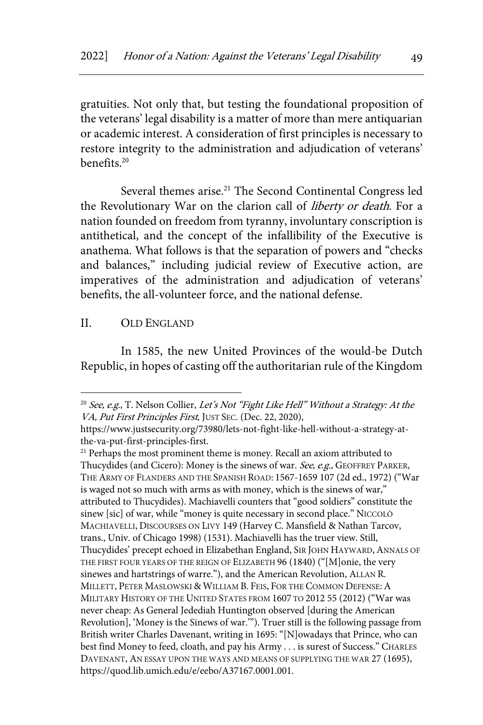gratuities. Not only that, but testing the foundational proposition of the veterans' legal disability is a matter of more than mere antiquarian or academic interest. A consideration of first principles is necessary to restore integrity to the administration and adjudication of veterans' benefits.20

Several themes arise.<sup>21</sup> The Second Continental Congress led the Revolutionary War on the clarion call of liberty or death. For a nation founded on freedom from tyranny, involuntary conscription is antithetical, and the concept of the infallibility of the Executive is anathema. What follows is that the separation of powers and "checks and balances," including judicial review of Executive action, are imperatives of the administration and adjudication of veterans' benefits, the all-volunteer force, and the national defense.

### II. OLD ENGLAND

In 1585, the new United Provinces of the would-be Dutch Republic, in hopes of casting off the authoritarian rule of the Kingdom

<sup>&</sup>lt;sup>20</sup> See, e.g., T. Nelson Collier, Let's Not "Fight Like Hell" Without a Strategy: At the VA, Put First Principles First, JUST SEC. (Dec. 22, 2020),

https://www.justsecurity.org/73980/lets-not-fight-like-hell-without-a-strategy-atthe-va-put-first-principles-first.

<sup>&</sup>lt;sup>21</sup> Perhaps the most prominent theme is money. Recall an axiom attributed to Thucydides (and Cicero): Money is the sinews of war. See, e.g., GEOFFREY PARKER, THE ARMY OF FLANDERS AND THE SPANISH ROAD: 1567-1659 107 (2d ed., 1972) ("War is waged not so much with arms as with money, which is the sinews of war," attributed to Thucydides). Machiavelli counters that "good soldiers" constitute the sinew [sic] of war, while "money is quite necessary in second place." NICCOLÒ MACHIAVELLI, DISCOURSES ON LIVY 149 (Harvey C. Mansfield & Nathan Tarcov, trans., Univ. of Chicago 1998) (1531). Machiavelli has the truer view. Still, Thucydides' precept echoed in Elizabethan England, SIR JOHN HAYWARD, ANNALS OF THE FIRST FOUR YEARS OF THE REIGN OF ELIZABETH 96 (1840) ("[M]onie, the very sinewes and hartstrings of warre."), and the American Revolution, ALLAN R. MILLETT, PETER MASLOWSKI & WILLIAM B. FEIS, FOR THE COMMON DEFENSE: A MILITARY HISTORY OF THE UNITED STATES FROM 1607 TO 2012 55 (2012) ("War was never cheap: As General Jedediah Huntington observed [during the American Revolution], 'Money is the Sinews of war.'"). Truer still is the following passage from British writer Charles Davenant, writing in 1695: "[N]owadays that Prince, who can best find Money to feed, cloath, and pay his Army . . . is surest of Success." CHARLES DAVENANT, AN ESSAY UPON THE WAYS AND MEANS OF SUPPLYING THE WAR 27 (1695), https://quod.lib.umich.edu/e/eebo/A37167.0001.001.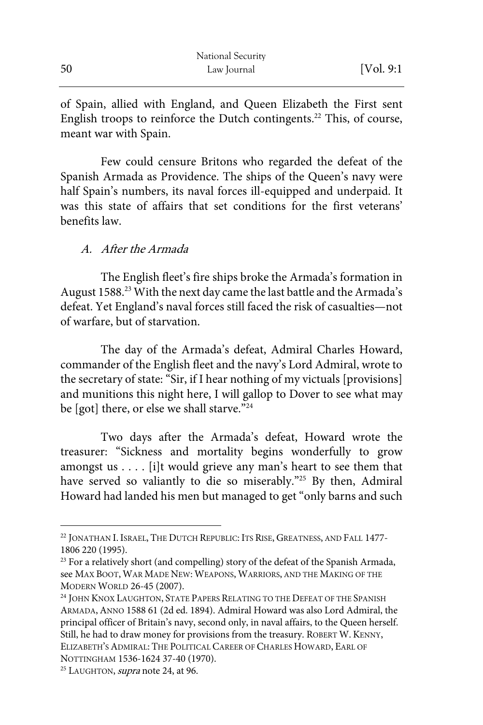of Spain, allied with England, and Queen Elizabeth the First sent English troops to reinforce the Dutch contingents.<sup>22</sup> This, of course, meant war with Spain.

Few could censure Britons who regarded the defeat of the Spanish Armada as Providence. The ships of the Queen's navy were half Spain's numbers, its naval forces ill-equipped and underpaid. It was this state of affairs that set conditions for the first veterans' benefits law.

# A. After the Armada

The English fleet's fire ships broke the Armada's formation in August 1588.<sup>23</sup> With the next day came the last battle and the Armada's defeat. Yet England's naval forces still faced the risk of casualties—not of warfare, but of starvation.

The day of the Armada's defeat, Admiral Charles Howard, commander of the English fleet and the navy's Lord Admiral, wrote to the secretary of state: "Sir, if I hear nothing of my victuals [provisions] and munitions this night here, I will gallop to Dover to see what may be [got] there, or else we shall starve."<sup>24</sup>

Two days after the Armada's defeat, Howard wrote the treasurer: "Sickness and mortality begins wonderfully to grow amongst us . . . . [i]t would grieve any man's heart to see them that have served so valiantly to die so miserably."25 By then, Admiral Howard had landed his men but managed to get "only barns and such

<sup>&</sup>lt;sup>22</sup> JONATHAN I. ISRAEL, THE DUTCH REPUBLIC: ITS RISE, GREATNESS, AND FALL 1477-1806 220 (1995).

<sup>&</sup>lt;sup>23</sup> For a relatively short (and compelling) story of the defeat of the Spanish Armada, see MAX BOOT, WAR MADE NEW: WEAPONS, WARRIORS, AND THE MAKING OF THE MODERN WORLD 26-45 (2007).

<sup>&</sup>lt;sup>24</sup> JOHN KNOX LAUGHTON, STATE PAPERS RELATING TO THE DEFEAT OF THE SPANISH ARMADA,ANNO 1588 61 (2d ed. 1894). Admiral Howard was also Lord Admiral, the principal officer of Britain's navy, second only, in naval affairs, to the Queen herself. Still, he had to draw money for provisions from the treasury. ROBERT W. KENNY, ELIZABETH'S ADMIRAL: THE POLITICAL CAREER OF CHARLES HOWARD, EARL OF NOTTINGHAM 1536-1624 37-40 (1970).

<sup>&</sup>lt;sup>25</sup> LAUGHTON, *supra* note 24, at 96.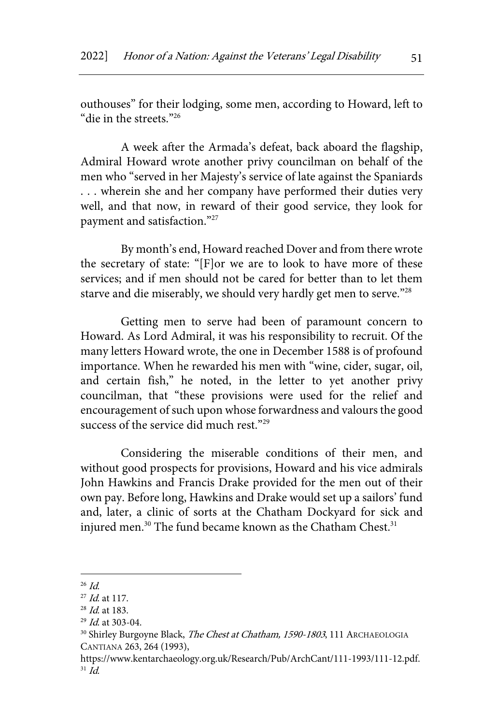outhouses" for their lodging, some men, according to Howard, left to "die in the streets."26

A week after the Armada's defeat, back aboard the flagship, Admiral Howard wrote another privy councilman on behalf of the men who "served in her Majesty's service of late against the Spaniards . . . wherein she and her company have performed their duties very well, and that now, in reward of their good service, they look for payment and satisfaction."27

By month's end, Howard reached Dover and from there wrote the secretary of state: "[F]or we are to look to have more of these services; and if men should not be cared for better than to let them starve and die miserably, we should very hardly get men to serve."28

Getting men to serve had been of paramount concern to Howard. As Lord Admiral, it was his responsibility to recruit. Of the many letters Howard wrote, the one in December 1588 is of profound importance. When he rewarded his men with "wine, cider, sugar, oil, and certain fish," he noted, in the letter to yet another privy councilman, that "these provisions were used for the relief and encouragement of such upon whose forwardness and valours the good success of the service did much rest."<sup>29</sup>

Considering the miserable conditions of their men, and without good prospects for provisions, Howard and his vice admirals John Hawkins and Francis Drake provided for the men out of their own pay. Before long, Hawkins and Drake would set up a sailors' fund and, later, a clinic of sorts at the Chatham Dockyard for sick and injured men.<sup>30</sup> The fund became known as the Chatham Chest.<sup>31</sup>

 $^{26}$  *Id.* 

 $^{27}$  *Id.* at 117.

 $^{28}$  *Id.* at 183.

 $29$  *Id.* at 303-04.

<sup>&</sup>lt;sup>30</sup> Shirley Burgoyne Black, The Chest at Chatham, 1590-1803, 111 ARCHAEOLOGIA CANTIANA 263, 264 (1993),

https://www.kentarchaeology.org.uk/Research/Pub/ArchCant/111-1993/111-12.pdf.  $31$  Id.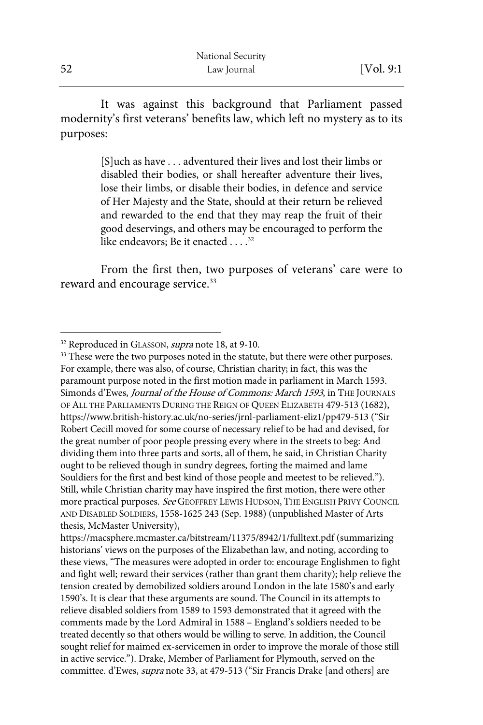It was against this background that Parliament passed modernity's first veterans' benefits law, which left no mystery as to its purposes:

> [S]uch as have . . . adventured their lives and lost their limbs or disabled their bodies, or shall hereafter adventure their lives, lose their limbs, or disable their bodies, in defence and service of Her Majesty and the State, should at their return be relieved and rewarded to the end that they may reap the fruit of their good deservings, and others may be encouraged to perform the like endeavors; Be it enacted  $\ldots$   $32$

From the first then, two purposes of veterans' care were to reward and encourage service.<sup>33</sup>

<sup>&</sup>lt;sup>32</sup> Reproduced in GLASSON, *supra* note 18, at 9-10.

<sup>&</sup>lt;sup>33</sup> These were the two purposes noted in the statute, but there were other purposes. For example, there was also, of course, Christian charity; in fact, this was the paramount purpose noted in the first motion made in parliament in March 1593. Simonds d'Ewes, Journal of the House of Commons: March 1593, in THE JOURNALS OF ALL THE PARLIAMENTS DURING THE REIGN OF QUEEN ELIZABETH 479-513 (1682), https://www.british-history.ac.uk/no-series/jrnl-parliament-eliz1/pp479-513 ("Sir Robert Cecill moved for some course of necessary relief to be had and devised, for the great number of poor people pressing every where in the streets to beg: And dividing them into three parts and sorts, all of them, he said, in Christian Charity ought to be relieved though in sundry degrees, forting the maimed and lame Souldiers for the first and best kind of those people and meetest to be relieved."). Still, while Christian charity may have inspired the first motion, there were other more practical purposes. See GEOFFREY LEWIS HUDSON, THE ENGLISH PRIVY COUNCIL AND DISABLED SOLDIERS, 1558-1625 243 (Sep. 1988) (unpublished Master of Arts thesis, McMaster University),

https://macsphere.mcmaster.ca/bitstream/11375/8942/1/fulltext.pdf (summarizing historians' views on the purposes of the Elizabethan law, and noting, according to these views, "The measures were adopted in order to: encourage Englishmen to fight and fight well; reward their services (rather than grant them charity); help relieve the tension created by demobilized soldiers around London in the late 1580's and early 1590's. It is clear that these arguments are sound. The Council in its attempts to relieve disabled soldiers from 1589 to 1593 demonstrated that it agreed with the comments made by the Lord Admiral in 1588 – England's soldiers needed to be treated decently so that others would be willing to serve. In addition, the Council sought relief for maimed ex-servicemen in order to improve the morale of those still in active service."). Drake, Member of Parliament for Plymouth, served on the committee. d'Ewes, supra note 33, at 479-513 ("Sir Francis Drake [and others] are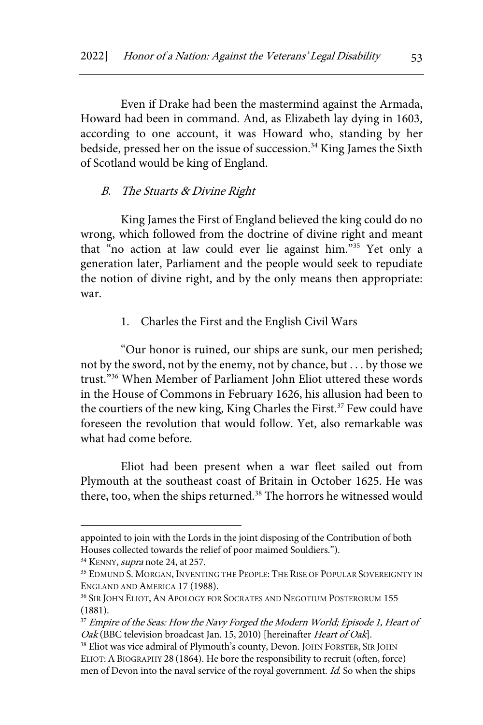Even if Drake had been the mastermind against the Armada, Howard had been in command. And, as Elizabeth lay dying in 1603, according to one account, it was Howard who, standing by her bedside, pressed her on the issue of succession.<sup>34</sup> King James the Sixth of Scotland would be king of England.

#### B. The Stuarts & Divine Right

King James the First of England believed the king could do no wrong, which followed from the doctrine of divine right and meant that "no action at law could ever lie against him."35 Yet only a generation later, Parliament and the people would seek to repudiate the notion of divine right, and by the only means then appropriate: war.

1. Charles the First and the English Civil Wars

"Our honor is ruined, our ships are sunk, our men perished; not by the sword, not by the enemy, not by chance, but . . . by those we trust."36 When Member of Parliament John Eliot uttered these words in the House of Commons in February 1626, his allusion had been to the courtiers of the new king, King Charles the First.<sup>37</sup> Few could have foreseen the revolution that would follow. Yet, also remarkable was what had come before.

Eliot had been present when a war fleet sailed out from Plymouth at the southeast coast of Britain in October 1625. He was there, too, when the ships returned.<sup>38</sup> The horrors he witnessed would

appointed to join with the Lords in the joint disposing of the Contribution of both Houses collected towards the relief of poor maimed Souldiers.").

<sup>&</sup>lt;sup>34</sup> KENNY, *supra* note 24, at 257.

<sup>&</sup>lt;sup>35</sup> EDMUND S. MORGAN, INVENTING THE PEOPLE: THE RISE OF POPULAR SOVEREIGNTY IN ENGLAND AND AMERICA 17 (1988).

<sup>&</sup>lt;sup>36</sup> SIR JOHN ELIOT, AN APOLOGY FOR SOCRATES AND NEGOTIUM POSTERORUM 155 (1881).

<sup>&</sup>lt;sup>37</sup> Empire of the Seas: How the Navy Forged the Modern World; Episode 1, Heart of Oak (BBC television broadcast Jan. 15, 2010) [hereinafter Heart of Oak].

<sup>38</sup> Eliot was vice admiral of Plymouth's county, Devon. JOHN FORSTER, SIR JOHN ELIOT:ABIOGRAPHY 28 (1864). He bore the responsibility to recruit (often, force) men of Devon into the naval service of the royal government. Id. So when the ships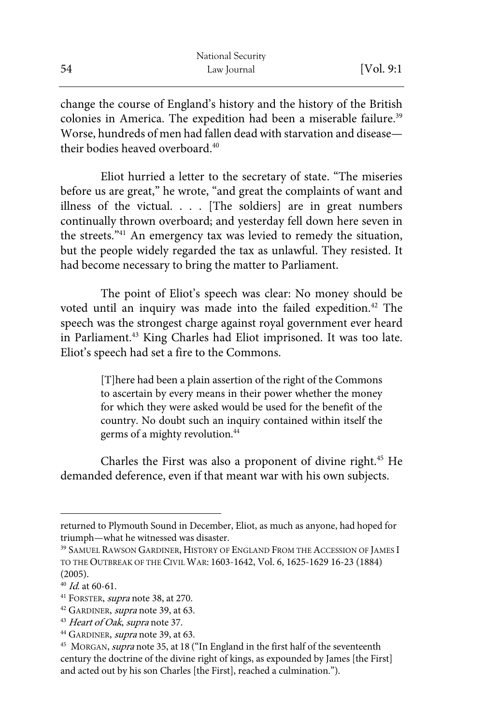|    | National Security |            |
|----|-------------------|------------|
| 54 | Law Journal       | [Vol. 9:1] |

change the course of England's history and the history of the British colonies in America. The expedition had been a miserable failure.<sup>39</sup> Worse, hundreds of men had fallen dead with starvation and disease their bodies heaved overboard  $40$ 

Eliot hurried a letter to the secretary of state. "The miseries before us are great," he wrote, "and great the complaints of want and illness of the victual. . . . [The soldiers] are in great numbers continually thrown overboard; and yesterday fell down here seven in the streets."41 An emergency tax was levied to remedy the situation, but the people widely regarded the tax as unlawful. They resisted. It had become necessary to bring the matter to Parliament.

The point of Eliot's speech was clear: No money should be voted until an inquiry was made into the failed expedition.<sup>42</sup> The speech was the strongest charge against royal government ever heard in Parliament.<sup>43</sup> King Charles had Eliot imprisoned. It was too late. Eliot's speech had set a fire to the Commons.

> [T]here had been a plain assertion of the right of the Commons to ascertain by every means in their power whether the money for which they were asked would be used for the benefit of the country. No doubt such an inquiry contained within itself the germs of a mighty revolution.<sup>44</sup>

Charles the First was also a proponent of divine right.45 He demanded deference, even if that meant war with his own subjects.

returned to Plymouth Sound in December, Eliot, as much as anyone, had hoped for triumph—what he witnessed was disaster.

<sup>&</sup>lt;sup>39</sup> SAMUEL RAWSON GARDINER, HISTORY OF ENGLAND FROM THE ACCESSION OF JAMES I TO THE OUTBREAK OF THE CIVIL WAR: 1603-1642, Vol. 6, 1625-1629 16-23 (1884) (2005).

 $40$  *Id.* at 60-61.

<sup>&</sup>lt;sup>41</sup> FORSTER, *supra* note 38, at 270.

<sup>&</sup>lt;sup>42</sup> GARDINER, *supra* note 39, at 63.

<sup>&</sup>lt;sup>43</sup> Heart of Oak, supra note 37.

<sup>&</sup>lt;sup>44</sup> GARDINER, *supra* note 39, at 63.<br><sup>45</sup> MORGAN, *supra* note 35, at 18 ("In England in the first half of the seventeenth century the doctrine of the divine right of kings, as expounded by James [the First] and acted out by his son Charles [the First], reached a culmination.").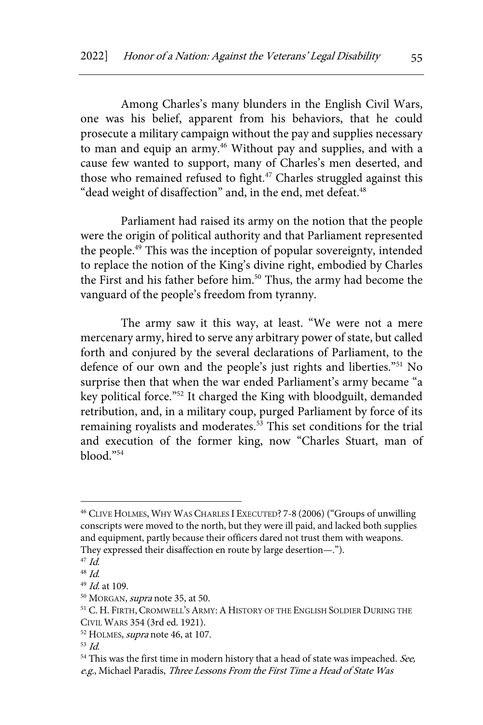Among Charles's many blunders in the English Civil Wars, one was his belief, apparent from his behaviors, that he could prosecute a military campaign without the pay and supplies necessary to man and equip an army.<sup>46</sup> Without pay and supplies, and with a cause few wanted to support, many of Charles's men deserted, and those who remained refused to fight.<sup>47</sup> Charles struggled against this "dead weight of disaffection" and, in the end, met defeat.<sup>48</sup>

Parliament had raised its army on the notion that the people were the origin of political authority and that Parliament represented the people.<sup>49</sup> This was the inception of popular sovereignty, intended to replace the notion of the King's divine right, embodied by Charles the First and his father before him.<sup>50</sup> Thus, the army had become the vanguard of the people's freedom from tyranny.

The army saw it this way, at least. "We were not a mere mercenary army, hired to serve any arbitrary power of state, but called forth and conjured by the several declarations of Parliament, to the defence of our own and the people's just rights and liberties."51 No surprise then that when the war ended Parliament's army became "a key political force."52 It charged the King with bloodguilt, demanded retribution, and, in a military coup, purged Parliament by force of its remaining royalists and moderates.<sup>53</sup> This set conditions for the trial and execution of the former king, now "Charles Stuart, man of blood."54

<sup>46</sup> CLIVE HOLMES, WHY WAS CHARLES I EXECUTED? 7-8 (2006) ("Groups of unwilling conscripts were moved to the north, but they were ill paid, and lacked both supplies and equipment, partly because their officers dared not trust them with weapons. They expressed their disaffection en route by large desertion—.").

 $47$  Id.

<sup>48</sup> Id.

 $49$  *Id.* at 109.

 $50$  MORGAN, *supra* note 35, at 50.

<sup>&</sup>lt;sup>51</sup> C. H. FIRTH, CROMWELL'S ARMY: A HISTORY OF THE ENGLISH SOLDIER DURING THE CIVIL WARS 354 (3rd ed. 1921).

<sup>&</sup>lt;sup>52</sup> HOLMES, *supra* note 46, at 107.

 $53$  Id.

 $54$  This was the first time in modern history that a head of state was impeached. See, e.g., Michael Paradis, Three Lessons From the First Time a Head of State Was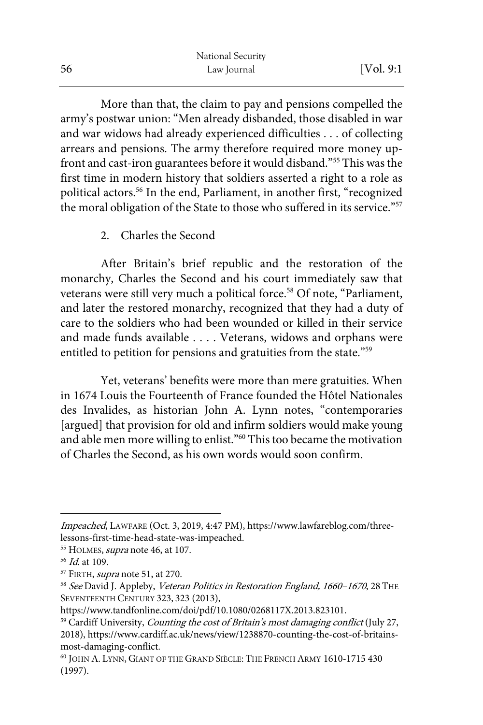|    | National Security |            |
|----|-------------------|------------|
| 56 | Law Journal       | [Vol. 9:1] |

More than that, the claim to pay and pensions compelled the army's postwar union: "Men already disbanded, those disabled in war and war widows had already experienced difficulties . . . of collecting arrears and pensions. The army therefore required more money upfront and cast-iron guarantees before it would disband."55 This was the first time in modern history that soldiers asserted a right to a role as political actors.<sup>56</sup> In the end, Parliament, in another first, "recognized the moral obligation of the State to those who suffered in its service."<sup>57</sup>

# 2. Charles the Second

After Britain's brief republic and the restoration of the monarchy, Charles the Second and his court immediately saw that veterans were still very much a political force.<sup>58</sup> Of note, "Parliament, and later the restored monarchy, recognized that they had a duty of care to the soldiers who had been wounded or killed in their service and made funds available . . . . Veterans, widows and orphans were entitled to petition for pensions and gratuities from the state."<sup>59</sup>

Yet, veterans' benefits were more than mere gratuities. When in 1674 Louis the Fourteenth of France founded the Hôtel Nationales des Invalides, as historian John A. Lynn notes, "contemporaries [argued] that provision for old and infirm soldiers would make young and able men more willing to enlist."<sup>60</sup> This too became the motivation of Charles the Second, as his own words would soon confirm.

Impeached, LAWFARE (Oct. 3, 2019, 4:47 PM), https://www.lawfareblog.com/threelessons-first-time-head-state-was-impeached.

<sup>&</sup>lt;sup>55</sup> HOLMES, *supra* note 46, at 107.

<sup>56</sup> Id. at 109.

 $57$  FIRTH, *supra* note 51, at 270.

<sup>&</sup>lt;sup>58</sup> See David J. Appleby, Veteran Politics in Restoration England, 1660–1670, 28 THE SEVENTEENTH CENTURY 323, 323 (2013),

https://www.tandfonline.com/doi/pdf/10.1080/0268117X.2013.823101.

<sup>&</sup>lt;sup>59</sup> Cardiff University, *Counting the cost of Britain's most damaging conflict* (July 27, 2018), https://www.cardiff.ac.uk/news/view/1238870-counting-the-cost-of-britainsmost-damaging-conflict.

<sup>60</sup> JOHN A. LYNN, GIANT OF THE GRAND SIÈCLE: THE FRENCH ARMY 1610-1715 430 (1997).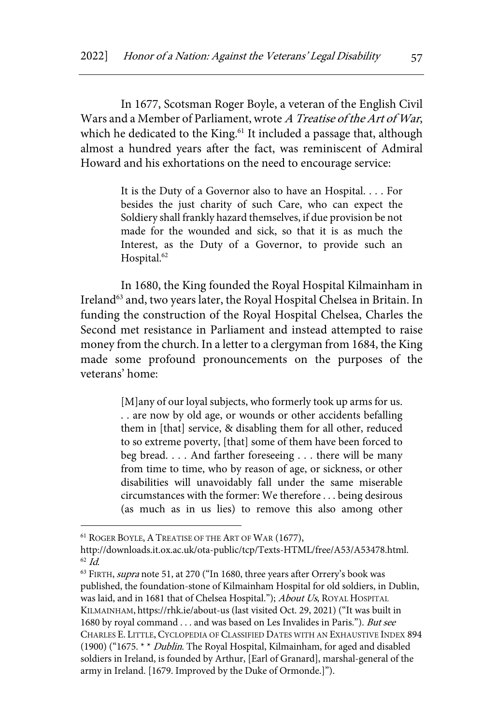In 1677, Scotsman Roger Boyle, a veteran of the English Civil Wars and a Member of Parliament, wrote A Treatise of the Art of War, which he dedicated to the King.<sup>61</sup> It included a passage that, although almost a hundred years after the fact, was reminiscent of Admiral Howard and his exhortations on the need to encourage service:

> It is the Duty of a Governor also to have an Hospital. . . . For besides the just charity of such Care, who can expect the Soldiery shall frankly hazard themselves, if due provision be not made for the wounded and sick, so that it is as much the Interest, as the Duty of a Governor, to provide such an Hospital.<sup>62</sup>

In 1680, the King founded the Royal Hospital Kilmainham in Ireland<sup>63</sup> and, two years later, the Royal Hospital Chelsea in Britain. In funding the construction of the Royal Hospital Chelsea, Charles the Second met resistance in Parliament and instead attempted to raise money from the church. In a letter to a clergyman from 1684, the King made some profound pronouncements on the purposes of the veterans' home:

> [M]any of our loyal subjects, who formerly took up arms for us. . . are now by old age, or wounds or other accidents befalling them in [that] service, & disabling them for all other, reduced to so extreme poverty, [that] some of them have been forced to beg bread. . . . And farther foreseeing . . . there will be many from time to time, who by reason of age, or sickness, or other disabilities will unavoidably fall under the same miserable circumstances with the former: We therefore . . . being desirous (as much as in us lies) to remove this also among other

<sup>&</sup>lt;sup>61</sup> ROGER BOYLE, A TREATISE OF THE ART OF WAR (1677),

http://downloads.it.ox.ac.uk/ota-public/tcp/Texts-HTML/free/A53/A53478.html.  $62$  *Id.* 

<sup>&</sup>lt;sup>63</sup> FIRTH, supra note 51, at 270 ("In 1680, three years after Orrery's book was published, the foundation-stone of Kilmainham Hospital for old soldiers, in Dublin, was laid, and in 1681 that of Chelsea Hospital."); About Us, ROYAL HOSPITAL KILMAINHAM, https://rhk.ie/about-us (last visited Oct. 29, 2021) ("It was built in 1680 by royal command . . . and was based on Les Invalides in Paris."). But see CHARLES E. LITTLE, CYCLOPEDIA OF CLASSIFIED DATES WITH AN EXHAUSTIVE INDEX 894 (1900) ("1675. \* \* Dublin. The Royal Hospital, Kilmainham, for aged and disabled soldiers in Ireland, is founded by Arthur, [Earl of Granard], marshal-general of the army in Ireland. [1679. Improved by the Duke of Ormonde.]").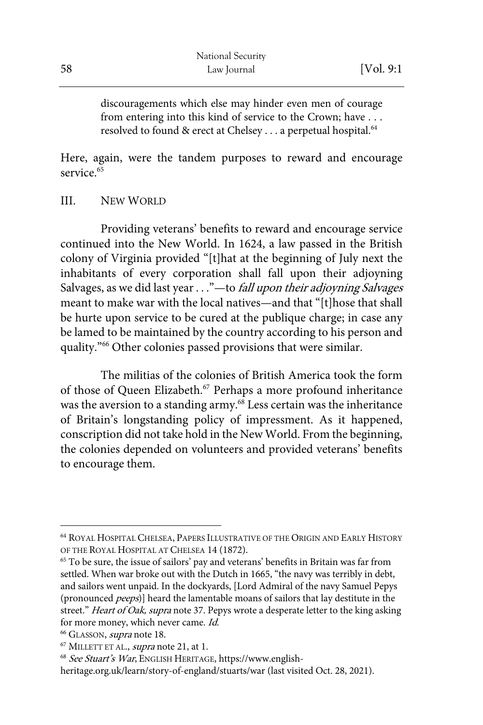discouragements which else may hinder even men of courage from entering into this kind of service to the Crown; have . . . resolved to found & erect at Chelsey . . . a perpetual hospital.<sup>64</sup>

Here, again, were the tandem purposes to reward and encourage service  $65$ 

III. NEW WORLD

Providing veterans' benefits to reward and encourage service continued into the New World. In 1624, a law passed in the British colony of Virginia provided "[t]hat at the beginning of July next the inhabitants of every corporation shall fall upon their adjoyning Salvages, as we did last year . . ."—to *fall upon their adjoyning Salvages* meant to make war with the local natives—and that "[t]hose that shall be hurte upon service to be cured at the publique charge; in case any be lamed to be maintained by the country according to his person and quality."66 Other colonies passed provisions that were similar.

The militias of the colonies of British America took the form of those of Queen Elizabeth.<sup>67</sup> Perhaps a more profound inheritance was the aversion to a standing army.<sup>68</sup> Less certain was the inheritance of Britain's longstanding policy of impressment. As it happened, conscription did not take hold in the New World. From the beginning, the colonies depended on volunteers and provided veterans' benefits to encourage them.

<sup>64</sup> ROYAL HOSPITAL CHELSEA, PAPERS ILLUSTRATIVE OF THE ORIGIN AND EARLY HISTORY OF THE ROYAL HOSPITAL AT CHELSEA 14 (1872).

<sup>65</sup> To be sure, the issue of sailors' pay and veterans' benefits in Britain was far from settled. When war broke out with the Dutch in 1665, "the navy was terribly in debt, and sailors went unpaid. In the dockyards, [Lord Admiral of the navy Samuel Pepys (pronounced peeps)] heard the lamentable moans of sailors that lay destitute in the street." Heart of Oak, supra note 37. Pepys wrote a desperate letter to the king asking for more money, which never came. Id.

<sup>&</sup>lt;sup>66</sup> GLASSON, *supra* note 18.

 $67$  MILLETT ET AL., *supra* note 21, at 1.

<sup>68</sup> See Stuart's War, ENGLISH HERITAGE, https://www.english-

heritage.org.uk/learn/story-of-england/stuarts/war (last visited Oct. 28, 2021).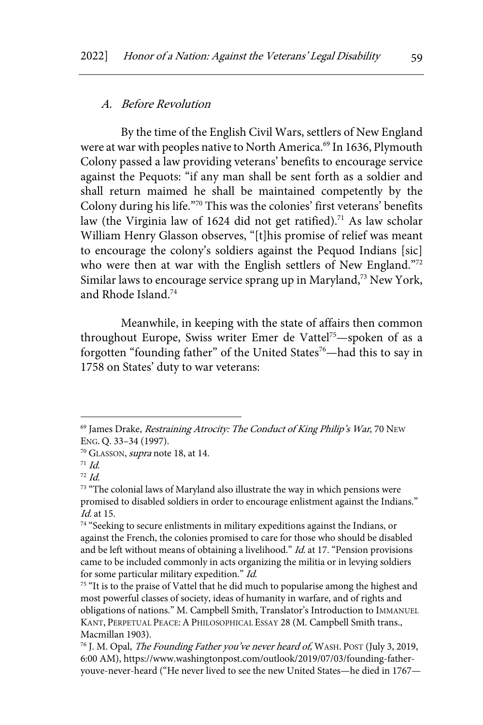#### A. Before Revolution

By the time of the English Civil Wars, settlers of New England were at war with peoples native to North America.<sup>69</sup> In 1636, Plymouth Colony passed a law providing veterans' benefits to encourage service against the Pequots: "if any man shall be sent forth as a soldier and shall return maimed he shall be maintained competently by the Colony during his life."70 This was the colonies' first veterans' benefits law (the Virginia law of 1624 did not get ratified).<sup>71</sup> As law scholar William Henry Glasson observes, "[t]his promise of relief was meant to encourage the colony's soldiers against the Pequod Indians [sic] who were then at war with the English settlers of New England."72 Similar laws to encourage service sprang up in Maryland,<sup>73</sup> New York, and Rhode Island.74

Meanwhile, in keeping with the state of affairs then common throughout Europe, Swiss writer Emer de Vattel<sup>75</sup>—spoken of as a forgotten "founding father" of the United States<sup>76</sup>—had this to say in 1758 on States' duty to war veterans:

 $69$  James Drake, *Restraining Atrocity: The Conduct of King Philip's War*, 70 New ENG. Q. 33–34 (1997).

 $70$  GLASSON, *supra* note 18, at 14.

 $71$  Id.

 $72$  Id.

<sup>&</sup>lt;sup>73</sup> "The colonial laws of Maryland also illustrate the way in which pensions were promised to disabled soldiers in order to encourage enlistment against the Indians." Id. at 15.

 $74$  "Seeking to secure enlistments in military expeditions against the Indians, or against the French, the colonies promised to care for those who should be disabled and be left without means of obtaining a livelihood."  $Id$  at 17. "Pension provisions came to be included commonly in acts organizing the militia or in levying soldiers for some particular military expedition." Id.

<sup>&</sup>lt;sup>75</sup> "It is to the praise of Vattel that he did much to popularise among the highest and most powerful classes of society, ideas of humanity in warfare, and of rights and obligations of nations." M. Campbell Smith, Translator's Introduction to IMMANUEL KANT, PERPETUAL PEACE:APHILOSOPHICAL ESSAY 28 (M. Campbell Smith trans., Macmillan 1903).

<sup>&</sup>lt;sup>76</sup> J. M. Opal, *The Founding Father you've never heard of*, WASH. POST (July 3, 2019, 6:00 AM), https://www.washingtonpost.com/outlook/2019/07/03/founding-fatheryouve-never-heard ("He never lived to see the new United States—he died in 1767—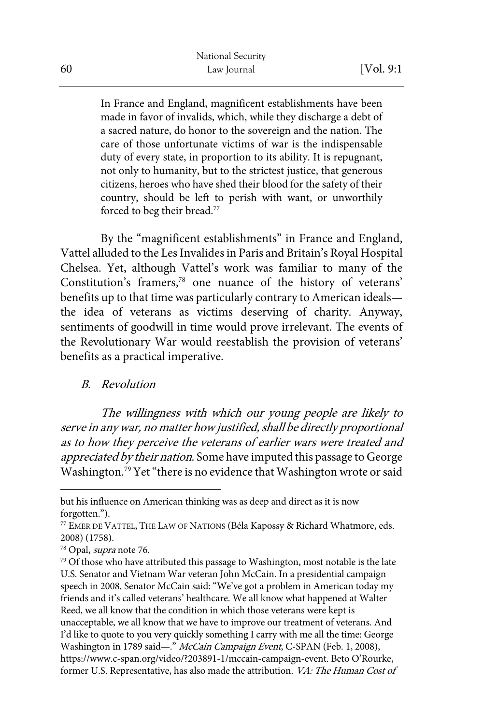In France and England, magnificent establishments have been made in favor of invalids, which, while they discharge a debt of a sacred nature, do honor to the sovereign and the nation. The care of those unfortunate victims of war is the indispensable duty of every state, in proportion to its ability. It is repugnant, not only to humanity, but to the strictest justice, that generous citizens, heroes who have shed their blood for the safety of their country, should be left to perish with want, or unworthily forced to beg their bread.<sup>77</sup>

By the "magnificent establishments" in France and England, Vattel alluded to the Les Invalides in Paris and Britain's Royal Hospital Chelsea. Yet, although Vattel's work was familiar to many of the Constitution's framers,<sup>78</sup> one nuance of the history of veterans' benefits up to that time was particularly contrary to American ideals the idea of veterans as victims deserving of charity. Anyway, sentiments of goodwill in time would prove irrelevant. The events of the Revolutionary War would reestablish the provision of veterans' benefits as a practical imperative.

#### B. Revolution

The willingness with which our young people are likely to serve in any war, no matter how justified, shall be directly proportional as to how they perceive the veterans of earlier wars were treated and appreciated by their nation. Some have imputed this passage to George Washington.<sup>79</sup> Yet "there is no evidence that Washington wrote or said

but his influence on American thinking was as deep and direct as it is now forgotten.").

<sup>77</sup> EMER DE VATTEL, THE LAW OF NATIONS (Béla Kapossy & Richard Whatmore, eds. 2008) (1758).

<sup>&</sup>lt;sup>78</sup> Opal, *supra* note 76.

 $^{79}$  Of those who have attributed this passage to Washington, most notable is the late U.S. Senator and Vietnam War veteran John McCain. In a presidential campaign speech in 2008, Senator McCain said: "We've got a problem in American today my friends and it's called veterans' healthcare. We all know what happened at Walter Reed, we all know that the condition in which those veterans were kept is unacceptable, we all know that we have to improve our treatment of veterans. And I'd like to quote to you very quickly something I carry with me all the time: George Washington in 1789 said—." McCain Campaign Event, C-SPAN (Feb. 1, 2008), https://www.c-span.org/video/?203891-1/mccain-campaign-event. Beto O'Rourke, former U.S. Representative, has also made the attribution. *VA: The Human Cost of*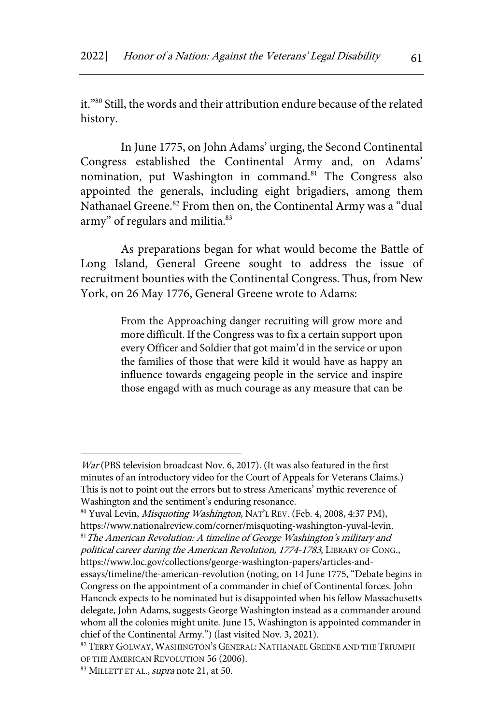it."80 Still, the words and their attribution endure because of the related history.

In June 1775, on John Adams' urging, the Second Continental Congress established the Continental Army and, on Adams' nomination, put Washington in command.<sup>81</sup> The Congress also appointed the generals, including eight brigadiers, among them Nathanael Greene.<sup>82</sup> From then on, the Continental Army was a "dual army" of regulars and militia.<sup>83</sup>

As preparations began for what would become the Battle of Long Island, General Greene sought to address the issue of recruitment bounties with the Continental Congress. Thus, from New York, on 26 May 1776, General Greene wrote to Adams:

> From the Approaching danger recruiting will grow more and more difficult. If the Congress was to fix a certain support upon every Officer and Soldier that got maim'd in the service or upon the families of those that were kild it would have as happy an influence towards engageing people in the service and inspire those engagd with as much courage as any measure that can be

War (PBS television broadcast Nov. 6, 2017). (It was also featured in the first minutes of an introductory video for the Court of Appeals for Veterans Claims.) This is not to point out the errors but to stress Americans' mythic reverence of Washington and the sentiment's enduring resonance.

<sup>&</sup>lt;sup>80</sup> Yuval Levin, *Misquoting Washington*, NAT'<sub>L</sub> REV. (Feb. 4, 2008, 4:37 PM), https://www.nationalreview.com/corner/misquoting-washington-yuval-levin.  $81$ <sup>81</sup> The American Revolution: A timeline of George Washington's military and

political career during the American Revolution, 1774-1783, LIBRARY OF CONG., https://www.loc.gov/collections/george-washington-papers/articles-and-

essays/timeline/the-american-revolution (noting, on 14 June 1775, "Debate begins in Congress on the appointment of a commander in chief of Continental forces. John Hancock expects to be nominated but is disappointed when his fellow Massachusetts delegate, John Adams, suggests George Washington instead as a commander around whom all the colonies might unite. June 15, Washington is appointed commander in chief of the Continental Army.") (last visited Nov. 3, 2021).

<sup>82</sup> TERRY GOLWAY, WASHINGTON'S GENERAL: NATHANAEL GREENE AND THE TRIUMPH OF THE AMERICAN REVOLUTION 56 (2006).

<sup>83</sup> MILLETT ET AL., *supra* note 21, at 50.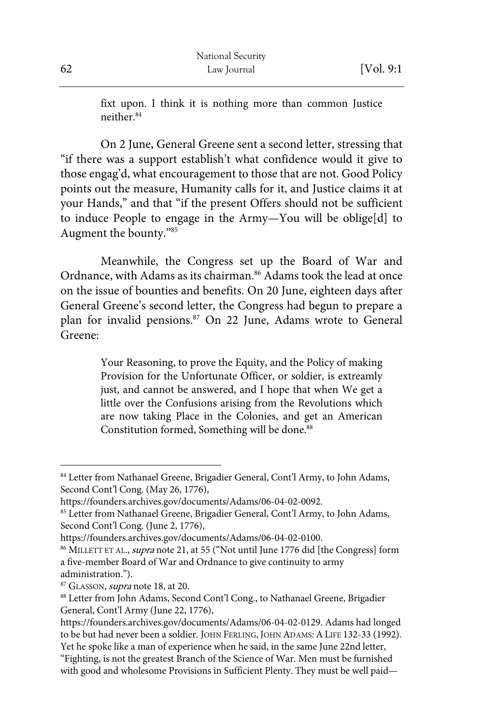fixt upon. I think it is nothing more than common Justice neither.84

On 2 June, General Greene sent a second letter, stressing that "if there was a support establish't what confidence would it give to those engag'd, what encouragement to those that are not. Good Policy points out the measure, Humanity calls for it, and Justice claims it at your Hands," and that "if the present Offers should not be sufficient to induce People to engage in the Army—You will be oblige[d] to Augment the bounty."85

Meanwhile, the Congress set up the Board of War and Ordnance, with Adams as its chairman.<sup>86</sup> Adams took the lead at once on the issue of bounties and benefits. On 20 June, eighteen days after General Greene's second letter, the Congress had begun to prepare a plan for invalid pensions.<sup>87</sup> On 22 June, Adams wrote to General Greene:

> Your Reasoning, to prove the Equity, and the Policy of making Provision for the Unfortunate Officer, or soldier, is extreamly just, and cannot be answered, and I hope that when We get a little over the Confusions arising from the Revolutions which are now taking Place in the Colonies, and get an American Constitution formed, Something will be done.<sup>88</sup>

<sup>84</sup> Letter from Nathanael Greene, Brigadier General, Cont'l Army, to John Adams, Second Cont'l Cong. (May 26, 1776),

https://founders.archives.gov/documents/Adams/06-04-02-0092.

<sup>85</sup> Letter from Nathanael Greene, Brigadier General, Cont'l Army, to John Adams, Second Cont'l Cong. (June 2, 1776),

https://founders.archives.gov/documents/Adams/06-04-02-0100.

<sup>&</sup>lt;sup>86</sup> MILLETT ET AL., *supra* note 21, at 55 ("Not until June 1776 did [the Congress] form a five-member Board of War and Ordnance to give continuity to army administration.").

<sup>&</sup>lt;sup>87</sup> GLASSON, *supra* note 18, at 20.

<sup>88</sup> Letter from John Adams, Second Cont'l Cong., to Nathanael Greene, Brigadier General, Cont'l Army (June 22, 1776),

https://founders.archives.gov/documents/Adams/06-04-02-0129. Adams had longed to be but had never been a soldier. JOHN FERLING, JOHN ADAMS: A LIFE 132-33 (1992). Yet he spoke like a man of experience when he said, in the same June 22nd letter,

<sup>&</sup>quot;Fighting, is not the greatest Branch of the Science of War. Men must be furnished with good and wholesome Provisions in Sufficient Plenty. They must be well paid—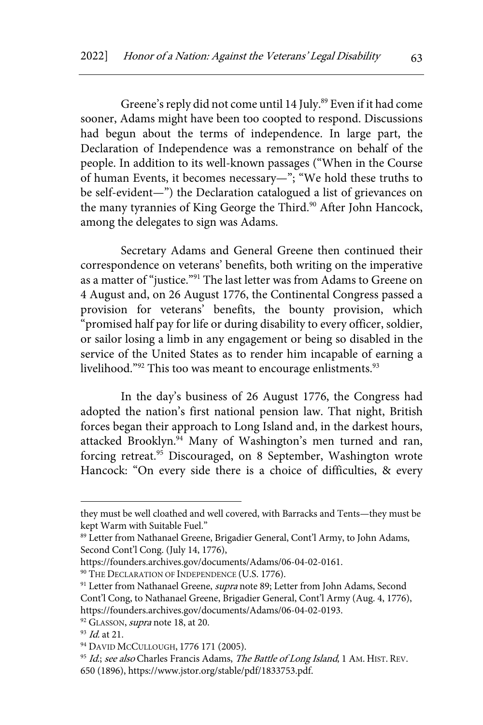Greene's reply did not come until 14 July.<sup>89</sup> Even if it had come sooner, Adams might have been too coopted to respond. Discussions had begun about the terms of independence. In large part, the Declaration of Independence was a remonstrance on behalf of the people. In addition to its well-known passages ("When in the Course of human Events, it becomes necessary—"; "We hold these truths to be self-evident—") the Declaration catalogued a list of grievances on the many tyrannies of King George the Third.<sup>90</sup> After John Hancock, among the delegates to sign was Adams.

Secretary Adams and General Greene then continued their correspondence on veterans' benefits, both writing on the imperative as a matter of "justice."<sup>91</sup> The last letter was from Adams to Greene on 4 August and, on 26 August 1776, the Continental Congress passed a provision for veterans' benefits, the bounty provision, which "promised half pay for life or during disability to every officer, soldier, or sailor losing a limb in any engagement or being so disabled in the service of the United States as to render him incapable of earning a livelihood."<sup>92</sup> This too was meant to encourage enlistments.<sup>93</sup>

In the day's business of 26 August 1776, the Congress had adopted the nation's first national pension law. That night, British forces began their approach to Long Island and, in the darkest hours, attacked Brooklyn.<sup>94</sup> Many of Washington's men turned and ran, forcing retreat.<sup>95</sup> Discouraged, on 8 September, Washington wrote Hancock: "On every side there is a choice of difficulties, & every

they must be well cloathed and well covered, with Barracks and Tents—they must be kept Warm with Suitable Fuel."

<sup>89</sup> Letter from Nathanael Greene, Brigadier General, Cont'l Army, to John Adams, Second Cont'l Cong. (July 14, 1776),

https://founders.archives.gov/documents/Adams/06-04-02-0161.

<sup>&</sup>lt;sup>90</sup> THE DECLARATION OF INDEPENDENCE (U.S. 1776).

<sup>&</sup>lt;sup>91</sup> Letter from Nathanael Greene, *supra* note 89; Letter from John Adams, Second Cont'l Cong, to Nathanael Greene, Brigadier General, Cont'l Army (Aug. 4, 1776), https://founders.archives.gov/documents/Adams/06-04-02-0193.

<sup>&</sup>lt;sup>92</sup> GLASSON, *supra* note 18, at 20.

<sup>93</sup> *Id.* at 21.

<sup>&</sup>lt;sup>94</sup> DAVID MCCULLOUGH, 1776 171 (2005).

<sup>95</sup> Id.; see also Charles Francis Adams, The Battle of Long Island, 1 AM. HIST. REV. 650 (1896), https://www.jstor.org/stable/pdf/1833753.pdf.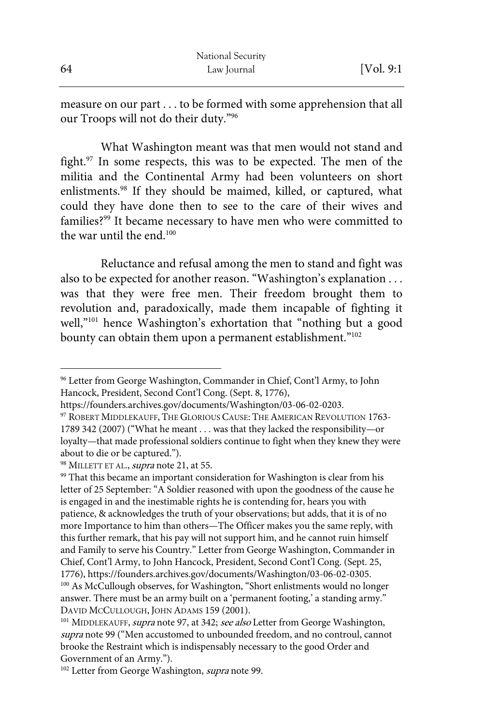measure on our part . . . to be formed with some apprehension that all our Troops will not do their duty."96

What Washington meant was that men would not stand and fight. $97$  In some respects, this was to be expected. The men of the militia and the Continental Army had been volunteers on short enlistments.<sup>98</sup> If they should be maimed, killed, or captured, what could they have done then to see to the care of their wives and families?<sup>99</sup> It became necessary to have men who were committed to the war until the end  $100$ 

Reluctance and refusal among the men to stand and fight was also to be expected for another reason. "Washington's explanation . . . was that they were free men. Their freedom brought them to revolution and, paradoxically, made them incapable of fighting it well,"<sup>101</sup> hence Washington's exhortation that "nothing but a good bounty can obtain them upon a permanent establishment."<sup>102</sup>

<sup>96</sup> Letter from George Washington, Commander in Chief, Cont'l Army, to John Hancock, President, Second Cont'l Cong. (Sept. 8, 1776),

https://founders.archives.gov/documents/Washington/03-06-02-0203.

<sup>97</sup> ROBERT MIDDLEKAUFF, THE GLORIOUS CAUSE: THE AMERICAN REVOLUTION 1763-1789 342 (2007) ("What he meant . . . was that they lacked the responsibility—or loyalty—that made professional soldiers continue to fight when they knew they were about to die or be captured.").

<sup>&</sup>lt;sup>98</sup> MILLETT ET AL., *supra* note 21, at 55.

<sup>&</sup>lt;sup>99</sup> That this became an important consideration for Washington is clear from his letter of 25 September: "A Soldier reasoned with upon the goodness of the cause he is engaged in and the inestimable rights he is contending for, hears you with patience, & acknowledges the truth of your observations; but adds, that it is of no more Importance to him than others—The Officer makes you the same reply, with this further remark, that his pay will not support him, and he cannot ruin himself and Family to serve his Country." Letter from George Washington, Commander in Chief, Cont'l Army, to John Hancock, President, Second Cont'l Cong. (Sept. 25, 1776), https://founders.archives.gov/documents/Washington/03-06-02-0305. <sup>100</sup> As McCullough observes, for Washington, "Short enlistments would no longer answer. There must be an army built on a 'permanent footing,' a standing army." DAVID MCCULLOUGH, JOHN ADAMS 159 (2001).

<sup>101</sup> MIDDLEKAUFF, supra note 97, at 342; see also Letter from George Washington, supra note 99 ("Men accustomed to unbounded freedom, and no controul, cannot brooke the Restraint which is indispensably necessary to the good Order and Government of an Army.").

<sup>&</sup>lt;sup>102</sup> Letter from George Washington, *supra* note 99.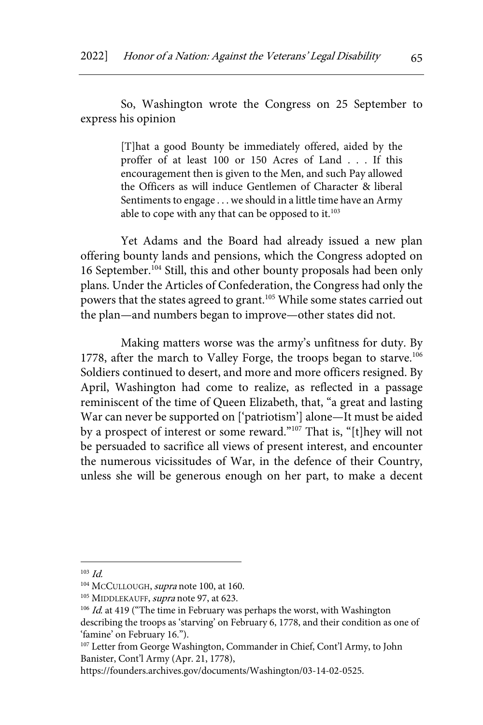So, Washington wrote the Congress on 25 September to express his opinion

> [T]hat a good Bounty be immediately offered, aided by the proffer of at least 100 or 150 Acres of Land . . . If this encouragement then is given to the Men, and such Pay allowed the Officers as will induce Gentlemen of Character & liberal Sentiments to engage . . . we should in a little time have an Army able to cope with any that can be opposed to it. $103$

Yet Adams and the Board had already issued a new plan offering bounty lands and pensions, which the Congress adopted on 16 September.<sup>104</sup> Still, this and other bounty proposals had been only plans. Under the Articles of Confederation, the Congress had only the powers that the states agreed to grant.<sup>105</sup> While some states carried out the plan—and numbers began to improve—other states did not.

Making matters worse was the army's unfitness for duty. By 1778, after the march to Valley Forge, the troops began to starve.<sup>106</sup> Soldiers continued to desert, and more and more officers resigned. By April, Washington had come to realize, as reflected in a passage reminiscent of the time of Queen Elizabeth, that, "a great and lasting War can never be supported on ['patriotism'] alone—It must be aided by a prospect of interest or some reward."107 That is, "[t]hey will not be persuaded to sacrifice all views of present interest, and encounter the numerous vicissitudes of War, in the defence of their Country, unless she will be generous enough on her part, to make a decent

 $103$  *Id.* 

<sup>&</sup>lt;sup>104</sup> McCULLOUGH, supra note 100, at 160.

<sup>&</sup>lt;sup>105</sup> MIDDLEKAUFF, *supra* note 97, at 623.

 $106$  *Id.* at 419 ("The time in February was perhaps the worst, with Washington describing the troops as 'starving' on February 6, 1778, and their condition as one of 'famine' on February 16.").

<sup>&</sup>lt;sup>107</sup> Letter from George Washington, Commander in Chief, Cont'l Army, to John Banister, Cont'l Army (Apr. 21, 1778),

https://founders.archives.gov/documents/Washington/03-14-02-0525.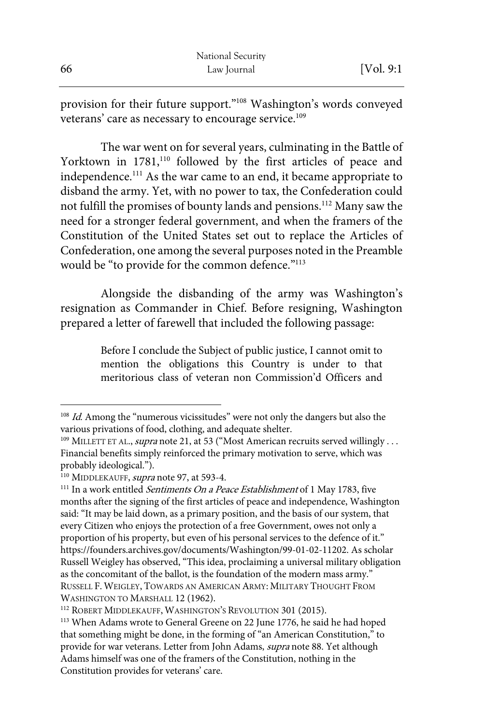provision for their future support."108 Washington's words conveyed veterans' care as necessary to encourage service.<sup>109</sup>

The war went on for several years, culminating in the Battle of Yorktown in 1781,<sup>110</sup> followed by the first articles of peace and independence.<sup>111</sup> As the war came to an end, it became appropriate to disband the army. Yet, with no power to tax, the Confederation could not fulfill the promises of bounty lands and pensions.112 Many saw the need for a stronger federal government, and when the framers of the Constitution of the United States set out to replace the Articles of Confederation, one among the several purposes noted in the Preamble would be "to provide for the common defence."<sup>113</sup>

Alongside the disbanding of the army was Washington's resignation as Commander in Chief. Before resigning, Washington prepared a letter of farewell that included the following passage:

> Before I conclude the Subject of public justice, I cannot omit to mention the obligations this Country is under to that meritorious class of veteran non Commission'd Officers and

 $108$  *Id.* Among the "numerous vicissitudes" were not only the dangers but also the various privations of food, clothing, and adequate shelter.

<sup>&</sup>lt;sup>109</sup> MILLETT ET AL., *supra* note 21, at 53 ("Most American recruits served willingly . . . Financial benefits simply reinforced the primary motivation to serve, which was probably ideological.").

<sup>&</sup>lt;sup>110</sup> MIDDLEKAUFF, *supra* note 97, at 593-4.

<sup>&</sup>lt;sup>111</sup> In a work entitled Sentiments On a Peace Establishment of 1 May 1783, five months after the signing of the first articles of peace and independence, Washington said: "It may be laid down, as a primary position, and the basis of our system, that every Citizen who enjoys the protection of a free Government, owes not only a proportion of his property, but even of his personal services to the defence of it." https://founders.archives.gov/documents/Washington/99-01-02-11202. As scholar Russell Weigley has observed, "This idea, proclaiming a universal military obligation as the concomitant of the ballot, is the foundation of the modern mass army." RUSSELL F. WEIGLEY, TOWARDS AN AMERICAN ARMY: MILITARY THOUGHT FROM WASHINGTON TO MARSHALL 12 (1962).

<sup>112</sup> ROBERT MIDDLEKAUFF, WASHINGTON'S REVOLUTION 301 (2015).

<sup>&</sup>lt;sup>113</sup> When Adams wrote to General Greene on 22 June 1776, he said he had hoped that something might be done, in the forming of "an American Constitution," to provide for war veterans. Letter from John Adams, supra note 88. Yet although Adams himself was one of the framers of the Constitution, nothing in the Constitution provides for veterans' care.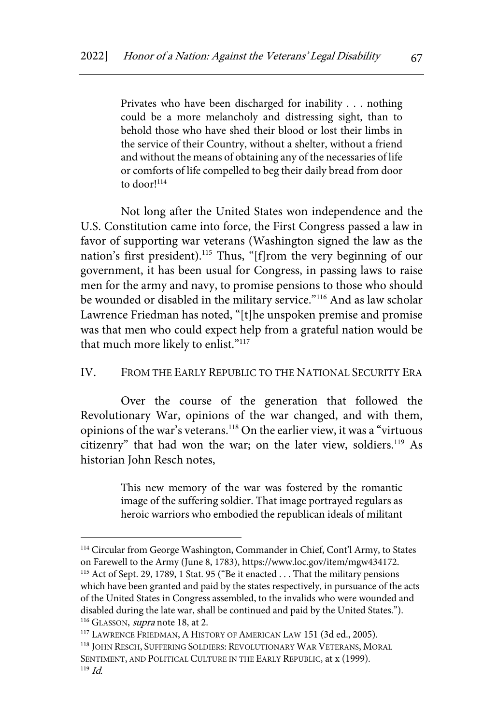Privates who have been discharged for inability . . . nothing could be a more melancholy and distressing sight, than to behold those who have shed their blood or lost their limbs in the service of their Country, without a shelter, without a friend and without the means of obtaining any of the necessaries of life or comforts of life compelled to beg their daily bread from door to door!<sup>114</sup>

Not long after the United States won independence and the U.S. Constitution came into force, the First Congress passed a law in favor of supporting war veterans (Washington signed the law as the nation's first president).<sup>115</sup> Thus, "[f]rom the very beginning of our government, it has been usual for Congress, in passing laws to raise men for the army and navy, to promise pensions to those who should be wounded or disabled in the military service."116 And as law scholar Lawrence Friedman has noted, "[t]he unspoken premise and promise was that men who could expect help from a grateful nation would be that much more likely to enlist."<sup>117</sup>

#### IV. FROM THE EARLY REPUBLIC TO THE NATIONAL SECURITY ERA

Over the course of the generation that followed the Revolutionary War, opinions of the war changed, and with them, opinions of the war's veterans.118 On the earlier view, it was a "virtuous citizenry" that had won the war; on the later view, soldiers.<sup>119</sup> As historian John Resch notes,

> This new memory of the war was fostered by the romantic image of the suffering soldier. That image portrayed regulars as heroic warriors who embodied the republican ideals of militant

<sup>114</sup> Circular from George Washington, Commander in Chief, Cont'l Army, to States on Farewell to the Army (June 8, 1783), https://www.loc.gov/item/mgw434172. <sup>115</sup> Act of Sept. 29, 1789, 1 Stat. 95 ("Be it enacted . . . That the military pensions which have been granted and paid by the states respectively, in pursuance of the acts of the United States in Congress assembled, to the invalids who were wounded and disabled during the late war, shall be continued and paid by the United States."). <sup>116</sup> GLASSON, *supra* note 18, at 2.

<sup>&</sup>lt;sup>117</sup> LAWRENCE FRIEDMAN, A HISTORY OF AMERICAN LAW 151 (3d ed., 2005).

<sup>118</sup> JOHN RESCH, SUFFERING SOLDIERS: REVOLUTIONARY WAR VETERANS, MORAL

SENTIMENT, AND POLITICAL CULTURE IN THE EARLY REPUBLIC, at x (1999).  $119$  *Id.*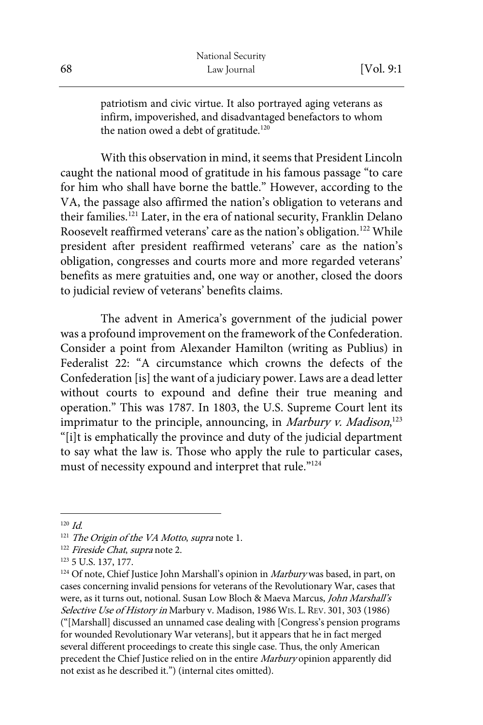patriotism and civic virtue. It also portrayed aging veterans as infirm, impoverished, and disadvantaged benefactors to whom the nation owed a debt of gratitude.<sup>120</sup>

With this observation in mind, it seems that President Lincoln caught the national mood of gratitude in his famous passage "to care for him who shall have borne the battle." However, according to the VA, the passage also affirmed the nation's obligation to veterans and their families.<sup>121</sup> Later, in the era of national security, Franklin Delano Roosevelt reaffirmed veterans' care as the nation's obligation.<sup>122</sup> While president after president reaffirmed veterans' care as the nation's obligation, congresses and courts more and more regarded veterans' benefits as mere gratuities and, one way or another, closed the doors to judicial review of veterans' benefits claims.

The advent in America's government of the judicial power was a profound improvement on the framework of the Confederation. Consider a point from Alexander Hamilton (writing as Publius) in Federalist 22: "A circumstance which crowns the defects of the Confederation [is] the want of a judiciary power. Laws are a dead letter without courts to expound and define their true meaning and operation." This was 1787. In 1803, the U.S. Supreme Court lent its imprimatur to the principle, announcing, in *Marbury v. Madison*,<sup>123</sup> "[i]t is emphatically the province and duty of the judicial department to say what the law is. Those who apply the rule to particular cases, must of necessity expound and interpret that rule."<sup>124</sup>

 $120 \, \text{Id}$ 

<sup>&</sup>lt;sup>121</sup> The Origin of the VA Motto, supra note 1.

<sup>&</sup>lt;sup>122</sup> Fireside Chat, supra note 2.

<sup>123</sup> 5 U.S. 137, 177.

 $124$  Of note, Chief Justice John Marshall's opinion in *Marbury* was based, in part, on cases concerning invalid pensions for veterans of the Revolutionary War, cases that were, as it turns out, notional. Susan Low Bloch & Maeva Marcus, John Marshall's Selective Use of History in Marbury v. Madison, 1986 WIS. L. REV. 301, 303 (1986) ("[Marshall] discussed an unnamed case dealing with [Congress's pension programs for wounded Revolutionary War veterans], but it appears that he in fact merged several different proceedings to create this single case. Thus, the only American precedent the Chief Justice relied on in the entire Marbury opinion apparently did not exist as he described it.") (internal cites omitted).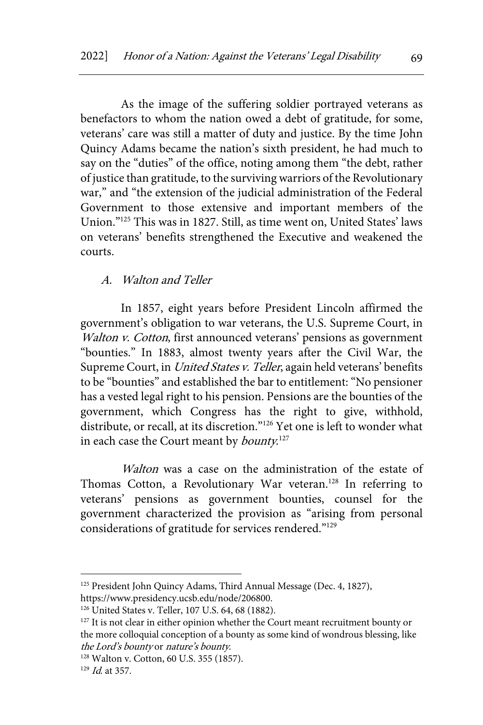As the image of the suffering soldier portrayed veterans as benefactors to whom the nation owed a debt of gratitude, for some, veterans' care was still a matter of duty and justice. By the time John Quincy Adams became the nation's sixth president, he had much to say on the "duties" of the office, noting among them "the debt, rather of justice than gratitude, to the surviving warriors of the Revolutionary war," and "the extension of the judicial administration of the Federal Government to those extensive and important members of the Union."125 This was in 1827. Still, as time went on, United States' laws on veterans' benefits strengthened the Executive and weakened the courts.

#### A. Walton and Teller

In 1857, eight years before President Lincoln affirmed the government's obligation to war veterans, the U.S. Supreme Court, in Walton v. Cotton, first announced veterans' pensions as government "bounties." In 1883, almost twenty years after the Civil War, the Supreme Court, in United States v. Teller, again held veterans' benefits to be "bounties" and established the bar to entitlement: "No pensioner has a vested legal right to his pension. Pensions are the bounties of the government, which Congress has the right to give, withhold, distribute, or recall, at its discretion."<sup>126</sup> Yet one is left to wonder what in each case the Court meant by *bounty*.<sup>127</sup>

Walton was a case on the administration of the estate of Thomas Cotton, a Revolutionary War veteran.<sup>128</sup> In referring to veterans' pensions as government bounties, counsel for the government characterized the provision as "arising from personal considerations of gratitude for services rendered."129

<sup>&</sup>lt;sup>125</sup> President John Quincy Adams, Third Annual Message (Dec. 4, 1827),

https://www.presidency.ucsb.edu/node/206800.

<sup>126</sup> United States v. Teller, 107 U.S. 64, 68 (1882).

<sup>&</sup>lt;sup>127</sup> It is not clear in either opinion whether the Court meant recruitment bounty or the more colloquial conception of a bounty as some kind of wondrous blessing, like the Lord's bounty or nature's bounty.

<sup>128</sup> Walton v. Cotton, 60 U.S. 355 (1857).

 $129$  *Id.* at 357.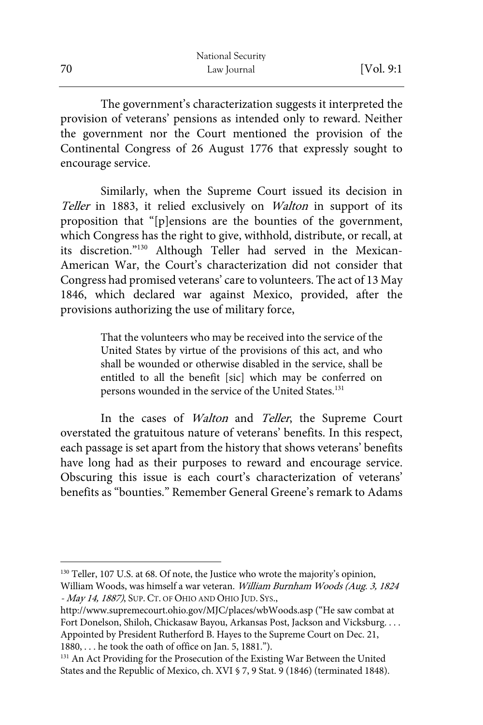|    | National Security |            |
|----|-------------------|------------|
| 70 | Law Journal       | [Vol. 9:1] |

The government's characterization suggests it interpreted the provision of veterans' pensions as intended only to reward. Neither the government nor the Court mentioned the provision of the Continental Congress of 26 August 1776 that expressly sought to encourage service.

Similarly, when the Supreme Court issued its decision in Teller in 1883, it relied exclusively on Walton in support of its proposition that "[p]ensions are the bounties of the government, which Congress has the right to give, withhold, distribute, or recall, at its discretion."130 Although Teller had served in the Mexican-American War, the Court's characterization did not consider that Congress had promised veterans' care to volunteers. The act of 13 May 1846, which declared war against Mexico, provided, after the provisions authorizing the use of military force,

> That the volunteers who may be received into the service of the United States by virtue of the provisions of this act, and who shall be wounded or otherwise disabled in the service, shall be entitled to all the benefit [sic] which may be conferred on persons wounded in the service of the United States.<sup>131</sup>

In the cases of *Walton* and *Teller*, the Supreme Court overstated the gratuitous nature of veterans' benefits. In this respect, each passage is set apart from the history that shows veterans' benefits have long had as their purposes to reward and encourage service. Obscuring this issue is each court's characterization of veterans' benefits as "bounties." Remember General Greene's remark to Adams

<sup>130</sup> Teller, 107 U.S. at 68. Of note, the Justice who wrote the majority's opinion, William Woods, was himself a war veteran. William Burnham Woods (Aug. 3, 1824 - May 14, 1887), SUP. CT. OF OHIO AND OHIO JUD. SYS.,

http://www.supremecourt.ohio.gov/MJC/places/wbWoods.asp ("He saw combat at Fort Donelson, Shiloh, Chickasaw Bayou, Arkansas Post, Jackson and Vicksburg. . . . Appointed by President Rutherford B. Hayes to the Supreme Court on Dec. 21, 1880, . . . he took the oath of office on Jan. 5, 1881.").

<sup>&</sup>lt;sup>131</sup> An Act Providing for the Prosecution of the Existing War Between the United States and the Republic of Mexico, ch. XVI § 7, 9 Stat. 9 (1846) (terminated 1848).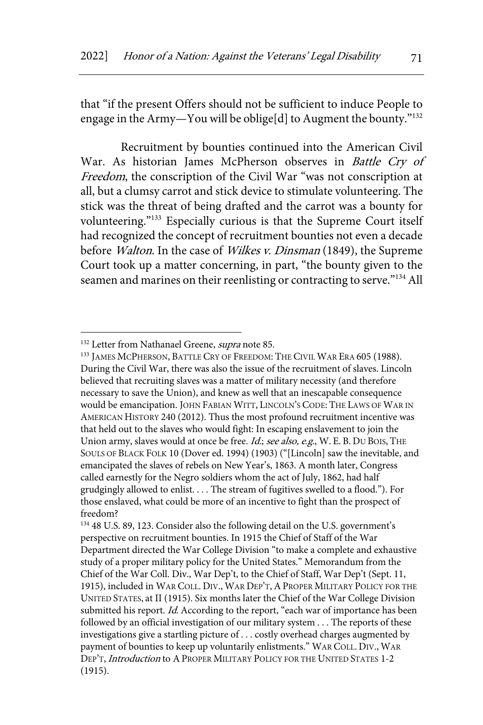that "if the present Offers should not be sufficient to induce People to engage in the Army-You will be oblige[d] to Augment the bounty."<sup>132</sup>

Recruitment by bounties continued into the American Civil War. As historian James McPherson observes in Battle Cry of Freedom, the conscription of the Civil War "was not conscription at all, but a clumsy carrot and stick device to stimulate volunteering. The stick was the threat of being drafted and the carrot was a bounty for volunteering."133 Especially curious is that the Supreme Court itself had recognized the concept of recruitment bounties not even a decade before *Walton*. In the case of *Wilkes v. Dinsman* (1849), the Supreme Court took up a matter concerning, in part, "the bounty given to the seamen and marines on their reenlisting or contracting to serve."<sup>134</sup> All

<sup>&</sup>lt;sup>132</sup> Letter from Nathanael Greene, *supra* note 85.

<sup>&</sup>lt;sup>133</sup> JAMES MCPHERSON, BATTLE CRY OF FREEDOM: THE CIVIL WAR ERA 605 (1988). During the Civil War, there was also the issue of the recruitment of slaves. Lincoln believed that recruiting slaves was a matter of military necessity (and therefore necessary to save the Union), and knew as well that an inescapable consequence would be emancipation. JOHN FABIAN WITT, LINCOLN'S CODE: THE LAWS OF WAR IN AMERICAN HISTORY 240 (2012). Thus the most profound recruitment incentive was that held out to the slaves who would fight: In escaping enslavement to join the Union army, slaves would at once be free. Id.; see also, e.g., W. E. B. DU BOIS, THE SOULS OF BLACK FOLK 10 (Dover ed. 1994) (1903) ("[Lincoln] saw the inevitable, and emancipated the slaves of rebels on New Year's, 1863. A month later, Congress called earnestly for the Negro soldiers whom the act of July, 1862, had half grudgingly allowed to enlist. . . . The stream of fugitives swelled to a flood."). For those enslaved, what could be more of an incentive to fight than the prospect of freedom?

<sup>134</sup> 48 U.S. 89, 123. Consider also the following detail on the U.S. government's perspective on recruitment bounties. In 1915 the Chief of Staff of the War Department directed the War College Division "to make a complete and exhaustive study of a proper military policy for the United States." Memorandum from the Chief of the War Coll. Div., War Dep't, to the Chief of Staff, War Dep't (Sept. 11, 1915), included in WAR COLL. DIV., WAR DEP'T, A PROPER MILITARY POLICY FOR THE UNITED STATES, at II (1915). Six months later the Chief of the War College Division submitted his report. Id. According to the report, "each war of importance has been followed by an official investigation of our military system . . . The reports of these investigations give a startling picture of . . . costly overhead charges augmented by payment of bounties to keep up voluntarily enlistments." WAR COLL. DIV., WAR DEP'T, *Introduction* to A PROPER MILITARY POLICY FOR THE UNITED STATES 1-2 (1915).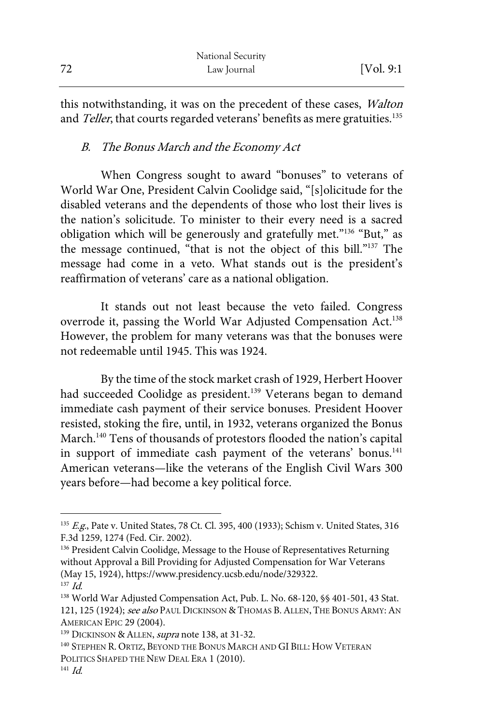|    | National Security |            |
|----|-------------------|------------|
| 72 | Law Journal       | [Vol. 9:1] |

this notwithstanding, it was on the precedent of these cases, *Walton* and Teller, that courts regarded veterans' benefits as mere gratuities.<sup>135</sup>

# B. The Bonus March and the Economy Act

When Congress sought to award "bonuses" to veterans of World War One, President Calvin Coolidge said, "[s]olicitude for the disabled veterans and the dependents of those who lost their lives is the nation's solicitude. To minister to their every need is a sacred obligation which will be generously and gratefully met."136 "But," as the message continued, "that is not the object of this bill."137 The message had come in a veto. What stands out is the president's reaffirmation of veterans' care as a national obligation.

It stands out not least because the veto failed. Congress overrode it, passing the World War Adjusted Compensation Act.<sup>138</sup> However, the problem for many veterans was that the bonuses were not redeemable until 1945. This was 1924.

By the time of the stock market crash of 1929, Herbert Hoover had succeeded Coolidge as president.<sup>139</sup> Veterans began to demand immediate cash payment of their service bonuses. President Hoover resisted, stoking the fire, until, in 1932, veterans organized the Bonus March.<sup>140</sup> Tens of thousands of protestors flooded the nation's capital in support of immediate cash payment of the veterans' bonus.<sup>141</sup> American veterans—like the veterans of the English Civil Wars 300 years before—had become a key political force.

<sup>&</sup>lt;sup>135</sup> E.g., Pate v. United States, 78 Ct. Cl. 395, 400 (1933); Schism v. United States, 316 F.3d 1259, 1274 (Fed. Cir. 2002).

<sup>&</sup>lt;sup>136</sup> President Calvin Coolidge, Message to the House of Representatives Returning without Approval a Bill Providing for Adjusted Compensation for War Veterans (May 15, 1924), https://www.presidency.ucsb.edu/node/329322.  $137$  *Id.* 

<sup>138</sup> World War Adjusted Compensation Act, Pub. L. No. 68-120, §§ 401-501, 43 Stat. 121, 125 (1924); see also Paul Dickinson & Thomas B. Allen, The Bonus Army: An AMERICAN EPIC 29 (2004).

<sup>&</sup>lt;sup>139</sup> DICKINSON & ALLEN, *supra* note 138, at 31-32.

<sup>&</sup>lt;sup>140</sup> STEPHEN R. ORTIZ, BEYOND THE BONUS MARCH AND GI BILL: HOW VETERAN POLITICS SHAPED THE NEW DEAL ERA 1 (2010).

 $141$  *Id.*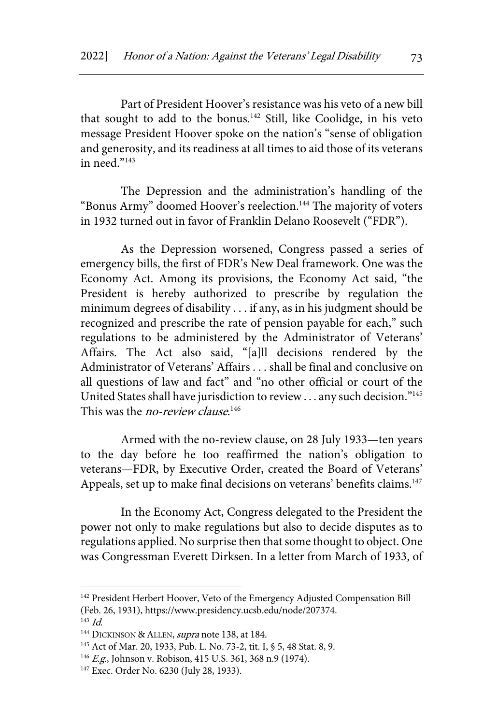Part of President Hoover's resistance was his veto of a new bill that sought to add to the bonus.<sup>142</sup> Still, like Coolidge, in his veto message President Hoover spoke on the nation's "sense of obligation and generosity, and its readiness at all times to aid those of its veterans in need. $n<sup>143</sup>$ 

The Depression and the administration's handling of the "Bonus Army" doomed Hoover's reelection.<sup>144</sup> The majority of voters in 1932 turned out in favor of Franklin Delano Roosevelt ("FDR").

As the Depression worsened, Congress passed a series of emergency bills, the first of FDR's New Deal framework. One was the Economy Act. Among its provisions, the Economy Act said, "the President is hereby authorized to prescribe by regulation the minimum degrees of disability . . . if any, as in his judgment should be recognized and prescribe the rate of pension payable for each," such regulations to be administered by the Administrator of Veterans' Affairs. The Act also said, "[a]ll decisions rendered by the Administrator of Veterans' Affairs . . . shall be final and conclusive on all questions of law and fact" and "no other official or court of the United States shall have jurisdiction to review . . . any such decision."<sup>145</sup> This was the *no-review clause*.<sup>146</sup>

Armed with the no-review clause, on 28 July 1933—ten years to the day before he too reaffirmed the nation's obligation to veterans—FDR, by Executive Order, created the Board of Veterans' Appeals, set up to make final decisions on veterans' benefits claims.<sup>147</sup>

In the Economy Act, Congress delegated to the President the power not only to make regulations but also to decide disputes as to regulations applied. No surprise then that some thought to object. One was Congressman Everett Dirksen. In a letter from March of 1933, of

<sup>&</sup>lt;sup>142</sup> President Herbert Hoover, Veto of the Emergency Adjusted Compensation Bill (Feb. 26, 1931), https://www.presidency.ucsb.edu/node/207374.

 $143$  *Id.* 

<sup>&</sup>lt;sup>144</sup> DICKINSON & ALLEN, *supra* note 138, at 184.

<sup>145</sup> Act of Mar. 20, 1933, Pub. L. No. 73-2, tit. I, § 5, 48 Stat. 8, 9.

<sup>&</sup>lt;sup>146</sup> E.g., Johnson v. Robison, 415 U.S. 361, 368 n.9 (1974).

<sup>147</sup> Exec. Order No. 6230 (July 28, 1933).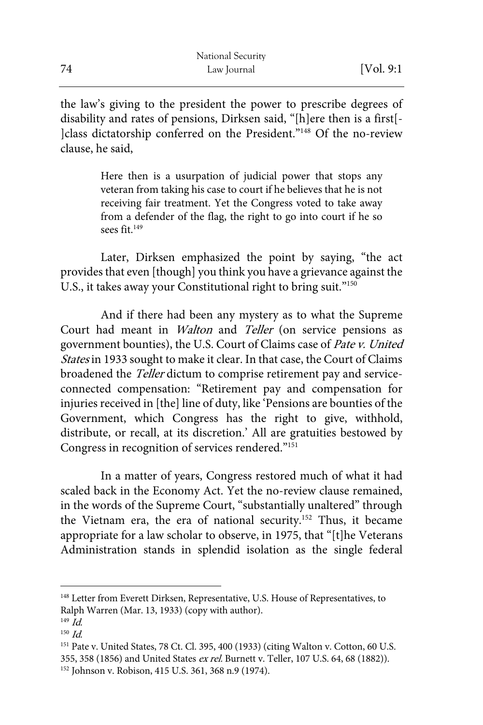the law's giving to the president the power to prescribe degrees of disability and rates of pensions, Dirksen said, "[h]ere then is a first[- ]class dictatorship conferred on the President."148 Of the no-review clause, he said,

> Here then is a usurpation of judicial power that stops any veteran from taking his case to court if he believes that he is not receiving fair treatment. Yet the Congress voted to take away from a defender of the flag, the right to go into court if he so sees fit.<sup>149</sup>

Later, Dirksen emphasized the point by saying, "the act provides that even [though] you think you have a grievance against the U.S., it takes away your Constitutional right to bring suit."150

And if there had been any mystery as to what the Supreme Court had meant in Walton and Teller (on service pensions as government bounties), the U.S. Court of Claims case of Pate v. United States in 1933 sought to make it clear. In that case, the Court of Claims broadened the Teller dictum to comprise retirement pay and serviceconnected compensation: "Retirement pay and compensation for injuries received in [the] line of duty, like 'Pensions are bounties of the Government, which Congress has the right to give, withhold, distribute, or recall, at its discretion.' All are gratuities bestowed by Congress in recognition of services rendered."<sup>151</sup>

In a matter of years, Congress restored much of what it had scaled back in the Economy Act. Yet the no-review clause remained, in the words of the Supreme Court, "substantially unaltered" through the Vietnam era, the era of national security.<sup>152</sup> Thus, it became appropriate for a law scholar to observe, in 1975, that "[t]he Veterans Administration stands in splendid isolation as the single federal

<sup>&</sup>lt;sup>148</sup> Letter from Everett Dirksen, Representative, U.S. House of Representatives, to Ralph Warren (Mar. 13, 1933) (copy with author).

<sup>149</sup> Id.

 $150$  *Id.* 

<sup>151</sup> Pate v. United States, 78 Ct. Cl. 395, 400 (1933) (citing Walton v. Cotton, 60 U.S. 355, 358 (1856) and United States ex rel. Burnett v. Teller, 107 U.S. 64, 68 (1882)).

<sup>152</sup> Johnson v. Robison, 415 U.S. 361, 368 n.9 (1974).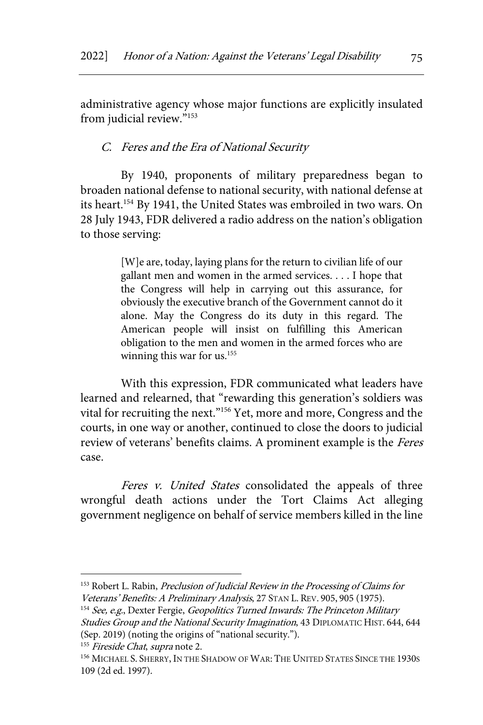administrative agency whose major functions are explicitly insulated from judicial review."<sup>153</sup>

### C. Feres and the Era of National Security

By 1940, proponents of military preparedness began to broaden national defense to national security, with national defense at its heart.<sup>154</sup> By 1941, the United States was embroiled in two wars. On 28 July 1943, FDR delivered a radio address on the nation's obligation to those serving:

> [W]e are, today, laying plans for the return to civilian life of our gallant men and women in the armed services. . . . I hope that the Congress will help in carrying out this assurance, for obviously the executive branch of the Government cannot do it alone. May the Congress do its duty in this regard. The American people will insist on fulfilling this American obligation to the men and women in the armed forces who are winning this war for us.<sup>155</sup>

With this expression, FDR communicated what leaders have learned and relearned, that "rewarding this generation's soldiers was vital for recruiting the next."156 Yet, more and more, Congress and the courts, in one way or another, continued to close the doors to judicial review of veterans' benefits claims. A prominent example is the Feres case.

Feres v. United States consolidated the appeals of three wrongful death actions under the Tort Claims Act alleging government negligence on behalf of service members killed in the line

<sup>&</sup>lt;sup>153</sup> Robert L. Rabin, Preclusion of Judicial Review in the Processing of Claims for Veterans' Benefits: A Preliminary Analysis, 27 STAN L. REV. 905, 905 (1975).

 $154$  See, e.g., Dexter Fergie, *Geopolitics Turned Inwards: The Princeton Military* Studies Group and the National Security Imagination, 43 DIPLOMATIC HIST. 644, 644 (Sep. 2019) (noting the origins of "national security.").

<sup>&</sup>lt;sup>155</sup> Fireside Chat, supra note 2.

<sup>&</sup>lt;sup>156</sup> MICHAEL S. SHERRY, IN THE SHADOW OF WAR: THE UNITED STATES SINCE THE 1930s 109 (2d ed. 1997).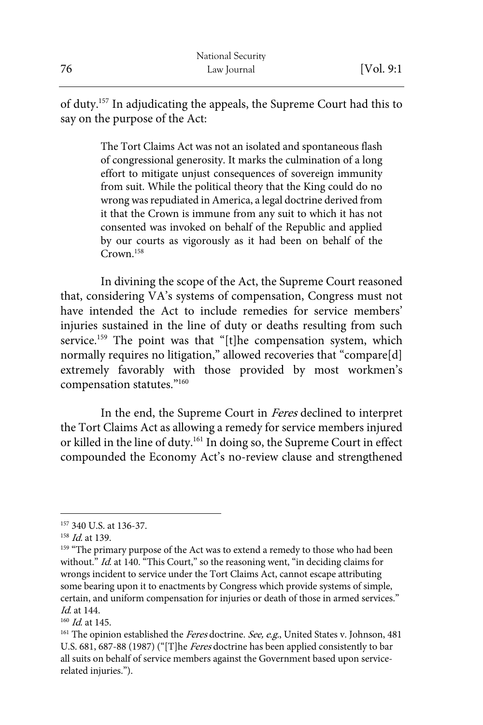of duty.157 In adjudicating the appeals, the Supreme Court had this to say on the purpose of the Act:

> The Tort Claims Act was not an isolated and spontaneous flash of congressional generosity. It marks the culmination of a long effort to mitigate unjust consequences of sovereign immunity from suit. While the political theory that the King could do no wrong was repudiated in America, a legal doctrine derived from it that the Crown is immune from any suit to which it has not consented was invoked on behalf of the Republic and applied by our courts as vigorously as it had been on behalf of the Crown.158

In divining the scope of the Act, the Supreme Court reasoned that, considering VA's systems of compensation, Congress must not have intended the Act to include remedies for service members' injuries sustained in the line of duty or deaths resulting from such service.<sup>159</sup> The point was that "[t]he compensation system, which normally requires no litigation," allowed recoveries that "compare[d] extremely favorably with those provided by most workmen's compensation statutes."160

In the end, the Supreme Court in Feres declined to interpret the Tort Claims Act as allowing a remedy for service members injured or killed in the line of duty.161 In doing so, the Supreme Court in effect compounded the Economy Act's no-review clause and strengthened

<sup>157</sup> 340 U.S. at 136-37.

<sup>&</sup>lt;sup>158</sup> *Id.* at 139.

<sup>&</sup>lt;sup>159</sup> "The primary purpose of the Act was to extend a remedy to those who had been without." Id. at 140. "This Court," so the reasoning went, "in deciding claims for wrongs incident to service under the Tort Claims Act, cannot escape attributing some bearing upon it to enactments by Congress which provide systems of simple, certain, and uniform compensation for injuries or death of those in armed services." Id. at 144.

 $160$  *Id.* at 145.

 $161$  The opinion established the *Feres* doctrine. See, e.g., United States v. Johnson, 481 U.S. 681, 687-88 (1987) ("[T]he Feres doctrine has been applied consistently to bar all suits on behalf of service members against the Government based upon servicerelated injuries.").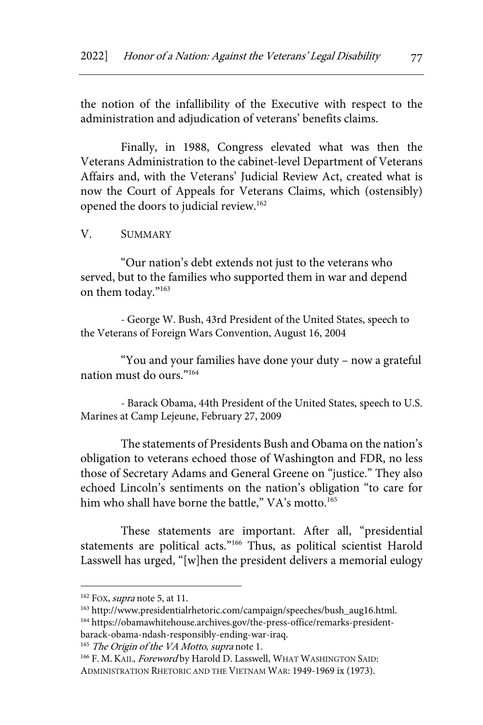the notion of the infallibility of the Executive with respect to the administration and adjudication of veterans' benefits claims.

Finally, in 1988, Congress elevated what was then the Veterans Administration to the cabinet-level Department of Veterans Affairs and, with the Veterans' Judicial Review Act, created what is now the Court of Appeals for Veterans Claims, which (ostensibly) opened the doors to judicial review.162

V. SUMMARY

"Our nation's debt extends not just to the veterans who served, but to the families who supported them in war and depend on them today."163

- George W. Bush, 43rd President of the United States, speech to the Veterans of Foreign Wars Convention, August 16, 2004

"You and your families have done your duty – now a grateful nation must do ours."164

- Barack Obama, 44th President of the United States, speech to U.S. Marines at Camp Lejeune, February 27, 2009

The statements of Presidents Bush and Obama on the nation's obligation to veterans echoed those of Washington and FDR, no less those of Secretary Adams and General Greene on "justice." They also echoed Lincoln's sentiments on the nation's obligation "to care for him who shall have borne the battle," VA's motto.<sup>165</sup>

These statements are important. After all, "presidential statements are political acts."166 Thus, as political scientist Harold Lasswell has urged, "[w]hen the president delivers a memorial eulogy

 $162$  FOX, *supra* note 5, at 11.

<sup>163</sup> http://www.presidentialrhetoric.com/campaign/speeches/bush\_aug16.html.

<sup>164</sup> https://obamawhitehouse.archives.gov/the-press-office/remarks-president-

barack-obama-ndash-responsibly-ending-war-iraq.

<sup>&</sup>lt;sup>165</sup> The Origin of the VA Motto, supra note 1.

<sup>166</sup> F. M. KAIL, Foreword by Harold D. Lasswell, WHAT WASHINGTON SAID: ADMINISTRATION RHETORIC AND THE VIETNAM WAR: 1949-1969 ix (1973).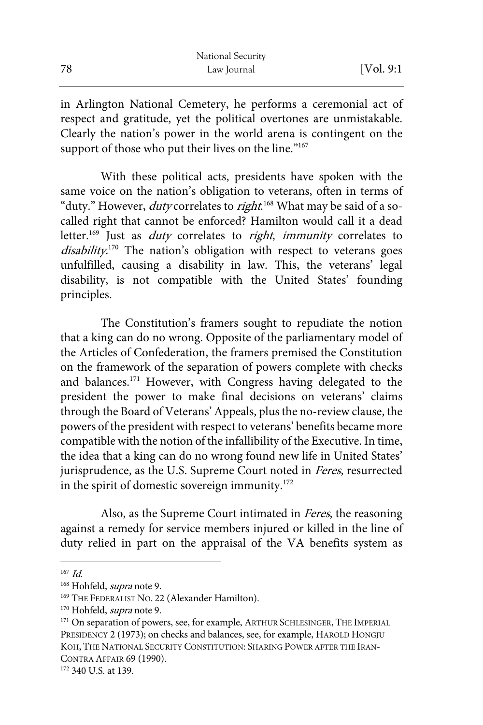|    | National Security |            |
|----|-------------------|------------|
| 78 | Law Journal       | [Vol. 9:1] |

in Arlington National Cemetery, he performs a ceremonial act of respect and gratitude, yet the political overtones are unmistakable. Clearly the nation's power in the world arena is contingent on the support of those who put their lives on the line."<sup>167</sup>

With these political acts, presidents have spoken with the same voice on the nation's obligation to veterans, often in terms of "duty." However, *duty* correlates to *right*.<sup>168</sup> What may be said of a socalled right that cannot be enforced? Hamilton would call it a dead letter.<sup>169</sup> Just as *duty* correlates to *right*, *immunity* correlates to disability.<sup>170</sup> The nation's obligation with respect to veterans goes unfulfilled, causing a disability in law. This, the veterans' legal disability, is not compatible with the United States' founding principles.

The Constitution's framers sought to repudiate the notion that a king can do no wrong. Opposite of the parliamentary model of the Articles of Confederation, the framers premised the Constitution on the framework of the separation of powers complete with checks and balances.<sup>171</sup> However, with Congress having delegated to the president the power to make final decisions on veterans' claims through the Board of Veterans' Appeals, plus the no-review clause, the powers of the president with respect to veterans' benefits became more compatible with the notion of the infallibility of the Executive. In time, the idea that a king can do no wrong found new life in United States' jurisprudence, as the U.S. Supreme Court noted in Feres, resurrected in the spirit of domestic sovereign immunity.<sup>172</sup>

Also, as the Supreme Court intimated in Feres, the reasoning against a remedy for service members injured or killed in the line of duty relied in part on the appraisal of the VA benefits system as

 $167$  *Id.* 

<sup>&</sup>lt;sup>168</sup> Hohfeld, *supra* note 9.

<sup>&</sup>lt;sup>169</sup> THE FEDERALIST NO. 22 (Alexander Hamilton).

<sup>&</sup>lt;sup>170</sup> Hohfeld, *supra* note 9.

<sup>&</sup>lt;sup>171</sup> On separation of powers, see, for example, ARTHUR SCHLESINGER, THE IMPERIAL PRESIDENCY 2 (1973); on checks and balances, see, for example, HAROLD HONGJU KOH, THE NATIONAL SECURITY CONSTITUTION: SHARING POWER AFTER THE IRAN-CONTRA AFFAIR 69 (1990).

<sup>172 340</sup> U.S. at 139.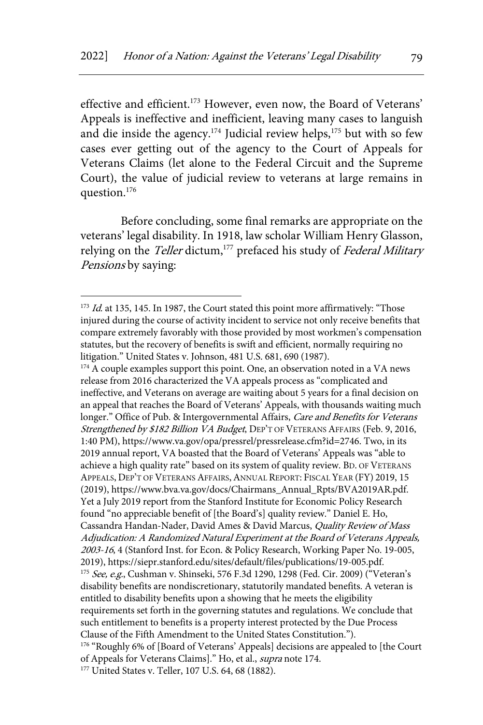effective and efficient.<sup>173</sup> However, even now, the Board of Veterans' Appeals is ineffective and inefficient, leaving many cases to languish and die inside the agency.<sup>174</sup> Judicial review helps,<sup>175</sup> but with so few cases ever getting out of the agency to the Court of Appeals for Veterans Claims (let alone to the Federal Circuit and the Supreme Court), the value of judicial review to veterans at large remains in question.176

Before concluding, some final remarks are appropriate on the veterans' legal disability. In 1918, law scholar William Henry Glasson, relying on the *Teller* dictum,<sup>177</sup> prefaced his study of *Federal Military* Pensions by saying:

 $174$  A couple examples support this point. One, an observation noted in a VA news release from 2016 characterized the VA appeals process as "complicated and ineffective, and Veterans on average are waiting about 5 years for a final decision on an appeal that reaches the Board of Veterans' Appeals, with thousands waiting much longer." Office of Pub. & Intergovernmental Affairs, Care and Benefits for Veterans Strengthened by \$182 Billion VA Budget, DEP'T OF VETERANS AFFAIRS (Feb. 9, 2016, 1:40 PM), https://www.va.gov/opa/pressrel/pressrelease.cfm?id=2746. Two, in its 2019 annual report, VA boasted that the Board of Veterans' Appeals was "able to achieve a high quality rate" based on its system of quality review. BD. OF VETERANS APPEALS, DEP'T OF VETERANS AFFAIRS,ANNUAL REPORT: FISCAL YEAR (FY) 2019, 15 (2019), https://www.bva.va.gov/docs/Chairmans\_Annual\_Rpts/BVA2019AR.pdf. Yet a July 2019 report from the Stanford Institute for Economic Policy Research found "no appreciable benefit of [the Board's] quality review." Daniel E. Ho, Cassandra Handan-Nader, David Ames & David Marcus, Quality Review of Mass Adjudication: A Randomized Natural Experiment at the Board of Veterans Appeals, 2003-16, 4 (Stanford Inst. for Econ. & Policy Research, Working Paper No. 19-005, 2019), https://siepr.stanford.edu/sites/default/files/publications/19-005.pdf. 175 See, e.g., Cushman v. Shinseki, 576 F.3d 1290, 1298 (Fed. Cir. 2009) ("Veteran's disability benefits are nondiscretionary, statutorily mandated benefits. A veteran is entitled to disability benefits upon a showing that he meets the eligibility requirements set forth in the governing statutes and regulations. We conclude that such entitlement to benefits is a property interest protected by the Due Process Clause of the Fifth Amendment to the United States Constitution."). <sup>176</sup> "Roughly 6% of [Board of Veterans' Appeals] decisions are appealed to [the Court of Appeals for Veterans Claims]." Ho, et al., supra note 174. <sup>177</sup> United States v. Teller, 107 U.S. 64, 68 (1882).

 $173$  *Id.* at 135, 145. In 1987, the Court stated this point more affirmatively: "Those injured during the course of activity incident to service not only receive benefits that compare extremely favorably with those provided by most workmen's compensation statutes, but the recovery of benefits is swift and efficient, normally requiring no litigation." United States v. Johnson, 481 U.S. 681, 690 (1987).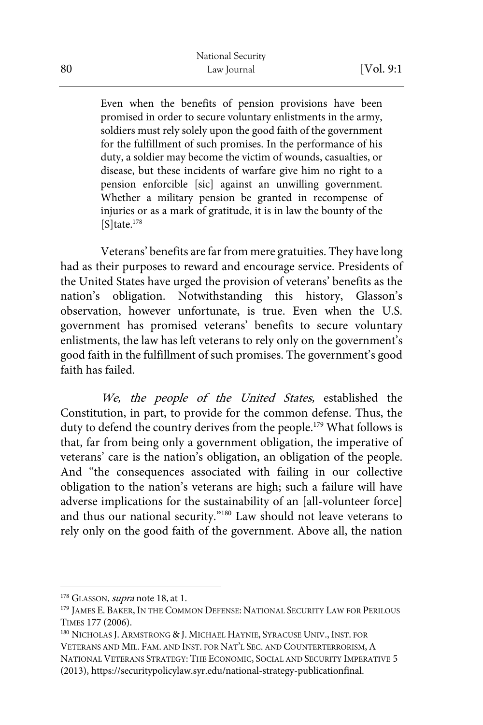Even when the benefits of pension provisions have been promised in order to secure voluntary enlistments in the army, soldiers must rely solely upon the good faith of the government for the fulfillment of such promises. In the performance of his duty, a soldier may become the victim of wounds, casualties, or disease, but these incidents of warfare give him no right to a pension enforcible [sic] against an unwilling government. Whether a military pension be granted in recompense of injuries or as a mark of gratitude, it is in law the bounty of the  $[S]$ tate.<sup>178</sup>

Veterans' benefits are far from mere gratuities. They have long had as their purposes to reward and encourage service. Presidents of the United States have urged the provision of veterans' benefits as the nation's obligation. Notwithstanding this history, Glasson's observation, however unfortunate, is true. Even when the U.S. government has promised veterans' benefits to secure voluntary enlistments, the law has left veterans to rely only on the government's good faith in the fulfillment of such promises. The government's good faith has failed.

We, the people of the United States, established the Constitution, in part, to provide for the common defense. Thus, the duty to defend the country derives from the people.<sup>179</sup> What follows is that, far from being only a government obligation, the imperative of veterans' care is the nation's obligation, an obligation of the people. And "the consequences associated with failing in our collective obligation to the nation's veterans are high; such a failure will have adverse implications for the sustainability of an [all-volunteer force] and thus our national security."180 Law should not leave veterans to rely only on the good faith of the government. Above all, the nation

 $178$  GLASSON, *supra* note 18, at 1.

<sup>&</sup>lt;sup>179</sup> JAMES E. BAKER, IN THE COMMON DEFENSE: NATIONAL SECURITY LAW FOR PERILOUS TIMES 177 (2006).

<sup>180</sup> NICHOLAS J.ARMSTRONG & J. MICHAEL HAYNIE, SYRACUSE UNIV., INST. FOR VETERANS AND MIL. FAM. AND INST. FOR NAT'L SEC. AND COUNTERTERRORISM,A NATIONAL VETERANS STRATEGY: THE ECONOMIC, SOCIAL AND SECURITY IMPERATIVE 5 (2013), https://securitypolicylaw.syr.edu/national-strategy-publicationfinal.